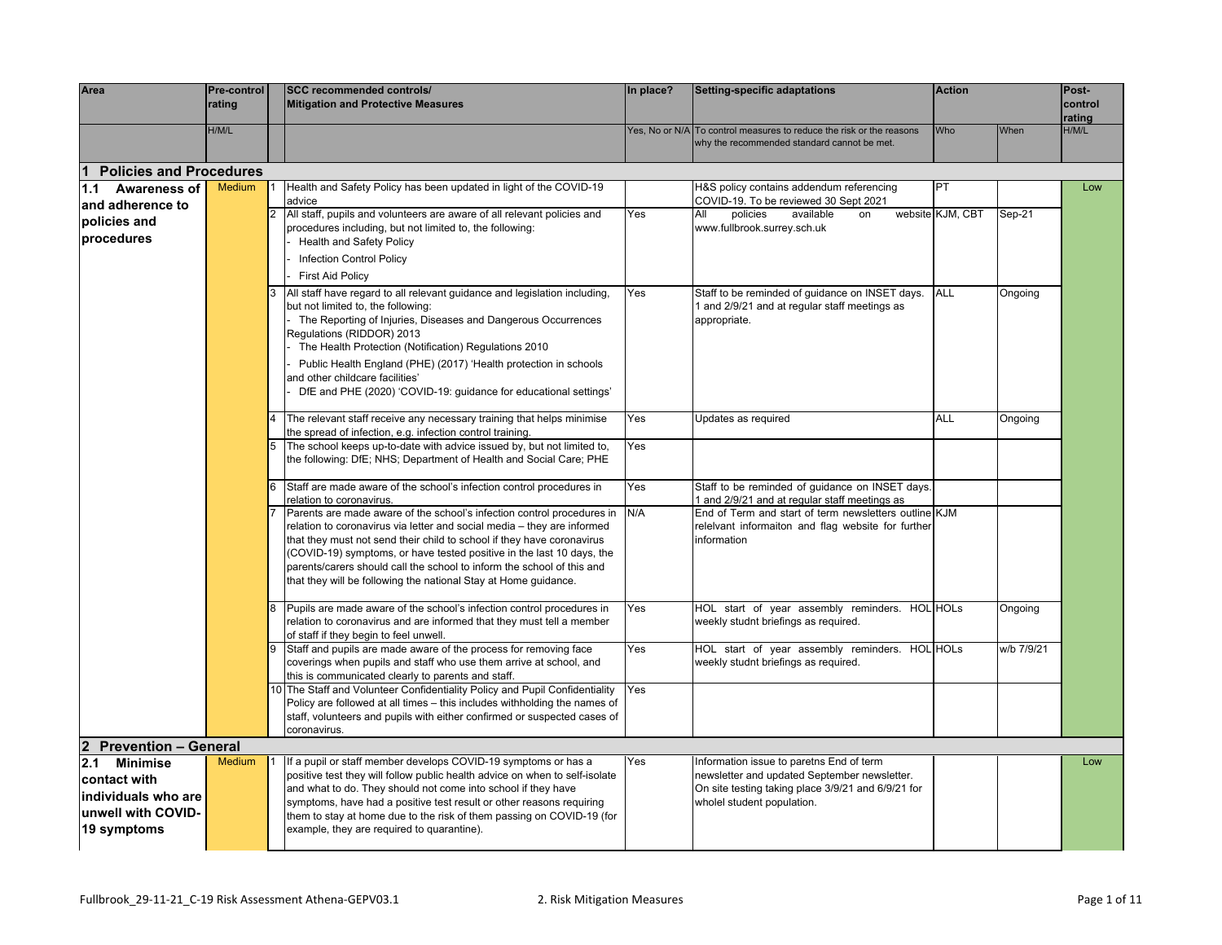| Area                           | Pre-control<br>rating |            | <b>SCC recommended controls/</b><br><b>Mitigation and Protective Measures</b>                                                                                                    | In place? | Setting-specific adaptations                                                                                        | <b>Action</b>    |            | Post-<br>control |
|--------------------------------|-----------------------|------------|----------------------------------------------------------------------------------------------------------------------------------------------------------------------------------|-----------|---------------------------------------------------------------------------------------------------------------------|------------------|------------|------------------|
|                                |                       |            |                                                                                                                                                                                  |           |                                                                                                                     |                  |            | rating           |
|                                | H/M/L                 |            |                                                                                                                                                                                  |           | Yes, No or N/A To control measures to reduce the risk or the reasons<br>why the recommended standard cannot be met. | Who              | When       | H/M/L            |
| <b>Policies and Procedures</b> |                       |            |                                                                                                                                                                                  |           |                                                                                                                     |                  |            |                  |
| 1.1 Awareness of               | <b>Medium</b>         |            | Health and Safety Policy has been updated in light of the COVID-19                                                                                                               |           | H&S policy contains addendum referencing                                                                            | PT               |            | Low              |
| and adherence to               |                       | $\sqrt{2}$ | advice<br>All staff, pupils and volunteers are aware of all relevant policies and                                                                                                | Yes       | COVID-19. To be reviewed 30 Sept 2021<br>policies<br>available<br>All<br>on                                         | website KJM, CBT | Sep-21     |                  |
| policies and                   |                       |            | procedures including, but not limited to, the following:                                                                                                                         |           | www.fullbrook.surrey.sch.uk                                                                                         |                  |            |                  |
| procedures                     |                       |            | <b>Health and Safety Policy</b>                                                                                                                                                  |           |                                                                                                                     |                  |            |                  |
|                                |                       |            | <b>Infection Control Policy</b>                                                                                                                                                  |           |                                                                                                                     |                  |            |                  |
|                                |                       |            | <b>First Aid Policy</b>                                                                                                                                                          |           |                                                                                                                     |                  |            |                  |
|                                |                       | 3          | All staff have regard to all relevant guidance and legislation including,<br>but not limited to, the following:<br>The Reporting of Injuries, Diseases and Dangerous Occurrences | Yes       | Staff to be reminded of guidance on INSET days.<br>and 2/9/21 and at regular staff meetings as<br>appropriate.      | ALL              | Ongoing    |                  |
|                                |                       |            | Regulations (RIDDOR) 2013<br>The Health Protection (Notification) Regulations 2010                                                                                               |           |                                                                                                                     |                  |            |                  |
|                                |                       |            | Public Health England (PHE) (2017) 'Health protection in schools                                                                                                                 |           |                                                                                                                     |                  |            |                  |
|                                |                       |            | and other childcare facilities'                                                                                                                                                  |           |                                                                                                                     |                  |            |                  |
|                                |                       |            | DfE and PHE (2020) 'COVID-19: guidance for educational settings'                                                                                                                 |           |                                                                                                                     |                  |            |                  |
|                                |                       |            | The relevant staff receive any necessary training that helps minimise                                                                                                            | Yes       | Updates as required                                                                                                 | ALL              | Ongoing    |                  |
|                                |                       |            | the spread of infection, e.g. infection control training.                                                                                                                        | Yes       |                                                                                                                     |                  |            |                  |
|                                |                       | 5          | The school keeps up-to-date with advice issued by, but not limited to,<br>the following: DfE; NHS; Department of Health and Social Care; PHE                                     |           |                                                                                                                     |                  |            |                  |
|                                |                       | 6          | Staff are made aware of the school's infection control procedures in<br>relation to coronavirus.                                                                                 | Yes       | Staff to be reminded of guidance on INSET days.<br>1 and 2/9/21 and at regular staff meetings as                    |                  |            |                  |
|                                |                       |            | Parents are made aware of the school's infection control procedures in<br>relation to coronavirus via letter and social media - they are informed                                | N/A       | End of Term and start of term newsletters outline KJM<br>releivant informaiton and flag website for further         |                  |            |                  |
|                                |                       |            | that they must not send their child to school if they have coronavirus                                                                                                           |           | information                                                                                                         |                  |            |                  |
|                                |                       |            | (COVID-19) symptoms, or have tested positive in the last 10 days, the                                                                                                            |           |                                                                                                                     |                  |            |                  |
|                                |                       |            | parents/carers should call the school to inform the school of this and                                                                                                           |           |                                                                                                                     |                  |            |                  |
|                                |                       |            | that they will be following the national Stay at Home guidance.                                                                                                                  |           |                                                                                                                     |                  |            |                  |
|                                |                       | 8          | Pupils are made aware of the school's infection control procedures in                                                                                                            | Yes       | HOL start of year assembly reminders. HOL HOLs                                                                      |                  | Ongoing    |                  |
|                                |                       |            | relation to coronavirus and are informed that they must tell a member                                                                                                            |           | weekly studnt briefings as required.                                                                                |                  |            |                  |
|                                |                       |            | of staff if they begin to feel unwell.<br>Staff and pupils are made aware of the process for removing face                                                                       | Yes       | HOL start of year assembly reminders. HOL HOLs                                                                      |                  | w/b 7/9/21 |                  |
|                                |                       |            | coverings when pupils and staff who use them arrive at school, and                                                                                                               |           | weekly studnt briefings as required.                                                                                |                  |            |                  |
|                                |                       |            | this is communicated clearly to parents and staff.                                                                                                                               |           |                                                                                                                     |                  |            |                  |
|                                |                       |            | 10 The Staff and Volunteer Confidentiality Policy and Pupil Confidentiality<br>Policy are followed at all times - this includes withholding the names of                         | Yes       |                                                                                                                     |                  |            |                  |
|                                |                       |            | staff, volunteers and pupils with either confirmed or suspected cases of                                                                                                         |           |                                                                                                                     |                  |            |                  |
|                                |                       |            | coronavirus.                                                                                                                                                                     |           |                                                                                                                     |                  |            |                  |
| 2 Prevention - General         |                       |            |                                                                                                                                                                                  |           |                                                                                                                     |                  |            |                  |
| 2.1 Minimise                   | <b>Medium</b>         |            | If a pupil or staff member develops COVID-19 symptoms or has a                                                                                                                   | Yes       | Information issue to paretns End of term                                                                            |                  |            | Low              |
| contact with                   |                       |            | positive test they will follow public health advice on when to self-isolate<br>and what to do. They should not come into school if they have                                     |           | newsletter and updated September newsletter.<br>On site testing taking place 3/9/21 and 6/9/21 for                  |                  |            |                  |
| individuals who are            |                       |            | symptoms, have had a positive test result or other reasons requiring                                                                                                             |           | wholel student population.                                                                                          |                  |            |                  |
| unwell with COVID-             |                       |            | them to stay at home due to the risk of them passing on COVID-19 (for                                                                                                            |           |                                                                                                                     |                  |            |                  |
| 19 symptoms                    |                       |            | example, they are required to quarantine).                                                                                                                                       |           |                                                                                                                     |                  |            |                  |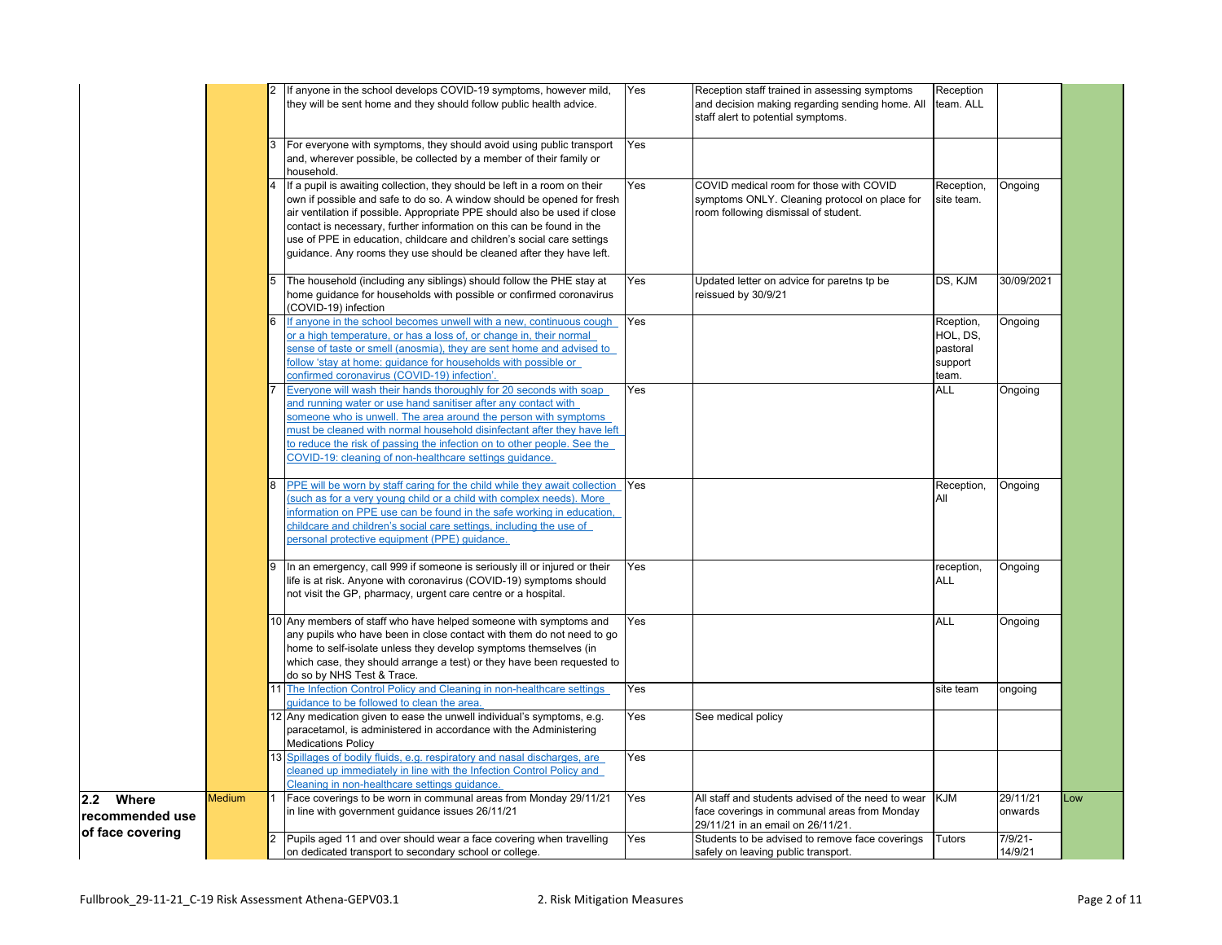|                  |               |    | 2 If anyone in the school develops COVID-19 symptoms, however mild,                                                                         | Yes | Reception staff trained in assessing symptoms      | Reception             |            |     |
|------------------|---------------|----|---------------------------------------------------------------------------------------------------------------------------------------------|-----|----------------------------------------------------|-----------------------|------------|-----|
|                  |               |    | they will be sent home and they should follow public health advice.                                                                         |     | and decision making regarding sending home. All    | team. ALL             |            |     |
|                  |               |    |                                                                                                                                             |     | staff alert to potential symptoms.                 |                       |            |     |
|                  |               |    |                                                                                                                                             |     |                                                    |                       |            |     |
|                  |               |    | For everyone with symptoms, they should avoid using public transport<br>and, wherever possible, be collected by a member of their family or | Yes |                                                    |                       |            |     |
|                  |               |    | household.                                                                                                                                  |     |                                                    |                       |            |     |
|                  |               |    | If a pupil is awaiting collection, they should be left in a room on their                                                                   | Yes | COVID medical room for those with COVID            | Reception,            | Ongoing    |     |
|                  |               |    | own if possible and safe to do so. A window should be opened for fresh                                                                      |     | symptoms ONLY. Cleaning protocol on place for      | site team.            |            |     |
|                  |               |    | air ventilation if possible. Appropriate PPE should also be used if close                                                                   |     | room following dismissal of student.               |                       |            |     |
|                  |               |    | contact is necessary, further information on this can be found in the                                                                       |     |                                                    |                       |            |     |
|                  |               |    | use of PPE in education, childcare and children's social care settings                                                                      |     |                                                    |                       |            |     |
|                  |               |    | guidance. Any rooms they use should be cleaned after they have left.                                                                        |     |                                                    |                       |            |     |
|                  |               |    |                                                                                                                                             |     |                                                    |                       |            |     |
|                  |               |    | The household (including any siblings) should follow the PHE stay at                                                                        | Yes | Updated letter on advice for paretns tp be         | DS, KJM               | 30/09/2021 |     |
|                  |               |    | home guidance for households with possible or confirmed coronavirus                                                                         |     | reissued by 30/9/21                                |                       |            |     |
|                  |               |    | (COVID-19) infection<br>If anyone in the school becomes unwell with a new, continuous cough                                                 | Yes |                                                    |                       |            |     |
|                  |               |    | or a high temperature, or has a loss of, or change in, their normal                                                                         |     |                                                    | Rception,<br>HOL, DS, | Ongoing    |     |
|                  |               |    | sense of taste or smell (anosmia), they are sent home and advised to                                                                        |     |                                                    | pastoral              |            |     |
|                  |               |    | follow 'stay at home: quidance for households with possible or                                                                              |     |                                                    | support               |            |     |
|                  |               |    | confirmed coronavirus (COVID-19) infection'.                                                                                                |     |                                                    | team.                 |            |     |
|                  |               |    | Everyone will wash their hands thoroughly for 20 seconds with soap                                                                          | Yes |                                                    | ALL                   | Ongoing    |     |
|                  |               |    | and running water or use hand sanitiser after any contact with                                                                              |     |                                                    |                       |            |     |
|                  |               |    | someone who is unwell. The area around the person with symptoms                                                                             |     |                                                    |                       |            |     |
|                  |               |    | must be cleaned with normal household disinfectant after they have left                                                                     |     |                                                    |                       |            |     |
|                  |               |    | to reduce the risk of passing the infection on to other people. See the                                                                     |     |                                                    |                       |            |     |
|                  |               |    | COVID-19: cleaning of non-healthcare settings quidance.                                                                                     |     |                                                    |                       |            |     |
|                  |               |    | PPE will be worn by staff caring for the child while they await collection                                                                  | Yes |                                                    | Reception,            | Ongoing    |     |
|                  |               |    | such as for a very young child or a child with complex needs). More                                                                         |     |                                                    | All                   |            |     |
|                  |               |    | information on PPE use can be found in the safe working in education,                                                                       |     |                                                    |                       |            |     |
|                  |               |    | childcare and children's social care settings, including the use of                                                                         |     |                                                    |                       |            |     |
|                  |               |    | personal protective equipment (PPE) quidance.                                                                                               |     |                                                    |                       |            |     |
|                  |               |    |                                                                                                                                             |     |                                                    |                       |            |     |
|                  |               |    | In an emergency, call 999 if someone is seriously ill or injured or their                                                                   | Yes |                                                    | reception,            | Ongoing    |     |
|                  |               |    | life is at risk. Anyone with coronavirus (COVID-19) symptoms should                                                                         |     |                                                    | ALL                   |            |     |
|                  |               |    | not visit the GP, pharmacy, urgent care centre or a hospital.                                                                               |     |                                                    |                       |            |     |
|                  |               |    | 10 Any members of staff who have helped someone with symptoms and                                                                           | Yes |                                                    | ALL                   | Ongoing    |     |
|                  |               |    | any pupils who have been in close contact with them do not need to go                                                                       |     |                                                    |                       |            |     |
|                  |               |    | home to self-isolate unless they develop symptoms themselves (in                                                                            |     |                                                    |                       |            |     |
|                  |               |    | which case, they should arrange a test) or they have been requested to                                                                      |     |                                                    |                       |            |     |
|                  |               |    | do so by NHS Test & Trace.                                                                                                                  |     |                                                    |                       |            |     |
|                  |               |    | 11 The Infection Control Policy and Cleaning in non-healthcare settings                                                                     | Yes |                                                    | site team             | ongoing    |     |
|                  |               |    | guidance to be followed to clean the area.                                                                                                  |     |                                                    |                       |            |     |
|                  |               |    | 12 Any medication given to ease the unwell individual's symptoms, e.g.                                                                      | Yes | See medical policy                                 |                       |            |     |
|                  |               |    | paracetamol, is administered in accordance with the Administering                                                                           |     |                                                    |                       |            |     |
|                  |               | 13 | <b>Medications Policy</b><br>Spillages of bodily fluids, e.g. respiratory and nasal discharges, are                                         | Yes |                                                    |                       |            |     |
|                  |               |    | cleaned up immediately in line with the Infection Control Policy and                                                                        |     |                                                    |                       |            |     |
|                  |               |    | Cleaning in non-healthcare settings quidance.                                                                                               |     |                                                    |                       |            |     |
| 2.2 Where        | <b>Medium</b> |    | Face coverings to be worn in communal areas from Monday 29/11/21                                                                            | Yes | All staff and students advised of the need to wear | <b>KJM</b>            | 29/11/21   | LOW |
| recommended use  |               |    | in line with government guidance issues 26/11/21                                                                                            |     | face coverings in communal areas from Monday       |                       | onwards    |     |
| of face covering |               |    |                                                                                                                                             |     | 29/11/21 in an email on 26/11/21.                  |                       |            |     |
|                  |               |    | Pupils aged 11 and over should wear a face covering when travelling                                                                         | Yes | Students to be advised to remove face coverings    | Tutors                | $7/9/21 -$ |     |
|                  |               |    | on dedicated transport to secondary school or college.                                                                                      |     | safely on leaving public transport.                |                       | 14/9/21    |     |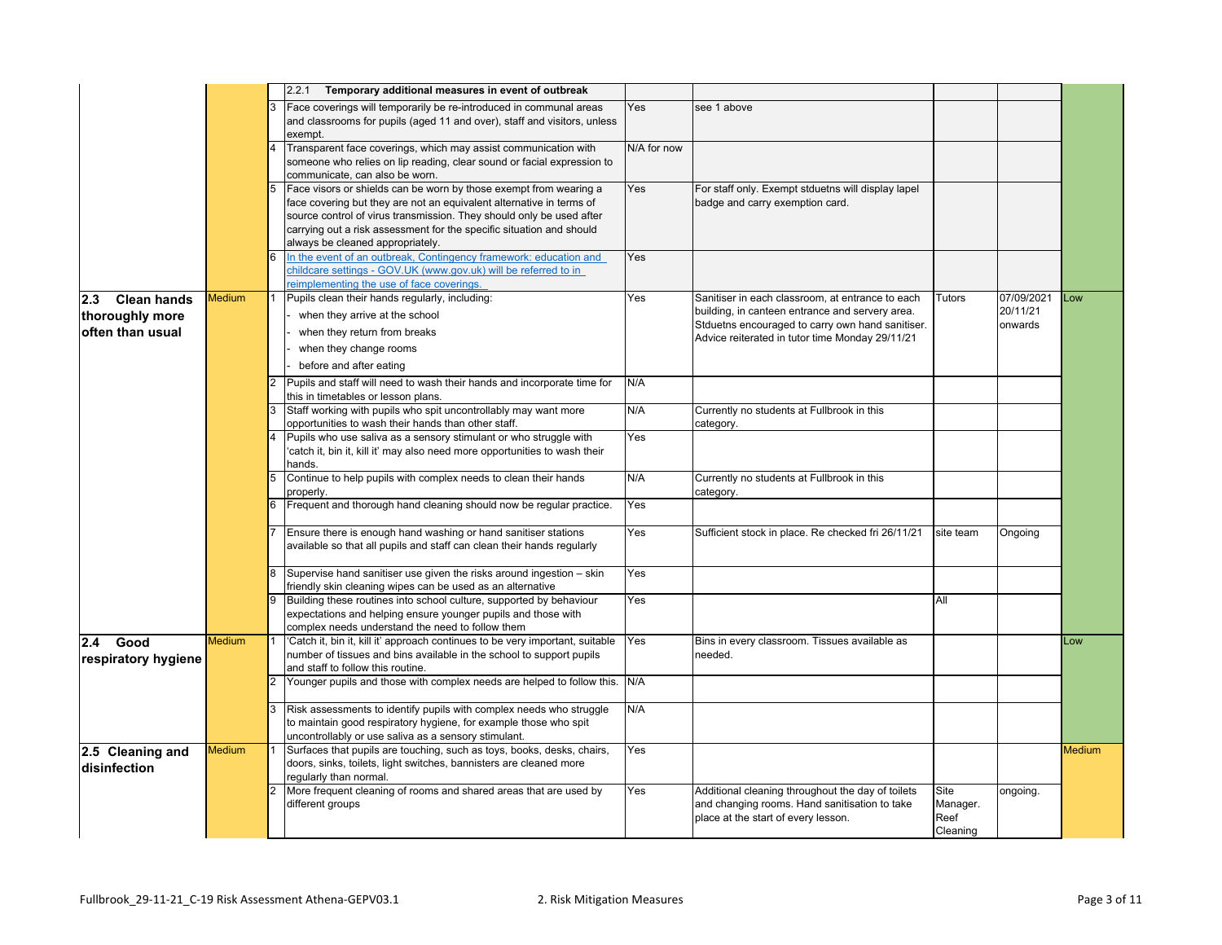|                           |        |   | Temporary additional measures in event of outbreak<br>2.2.1                                                                              |             |                                                                                                     |           |            |        |
|---------------------------|--------|---|------------------------------------------------------------------------------------------------------------------------------------------|-------------|-----------------------------------------------------------------------------------------------------|-----------|------------|--------|
|                           |        |   | Face coverings will temporarily be re-introduced in communal areas                                                                       | Yes         | see 1 above                                                                                         |           |            |        |
|                           |        |   | and classrooms for pupils (aged 11 and over), staff and visitors, unless                                                                 |             |                                                                                                     |           |            |        |
|                           |        |   | exempt.                                                                                                                                  |             |                                                                                                     |           |            |        |
|                           |        | 4 | Transparent face coverings, which may assist communication with                                                                          | N/A for now |                                                                                                     |           |            |        |
|                           |        |   | someone who relies on lip reading, clear sound or facial expression to<br>communicate, can also be worn.                                 |             |                                                                                                     |           |            |        |
|                           |        | 5 | Face visors or shields can be worn by those exempt from wearing a                                                                        | Yes         | For staff only. Exempt stduetns will display lapel                                                  |           |            |        |
|                           |        |   | face covering but they are not an equivalent alternative in terms of                                                                     |             | badge and carry exemption card.                                                                     |           |            |        |
|                           |        |   | source control of virus transmission. They should only be used after                                                                     |             |                                                                                                     |           |            |        |
|                           |        |   | carrying out a risk assessment for the specific situation and should                                                                     |             |                                                                                                     |           |            |        |
|                           |        |   | always be cleaned appropriately.                                                                                                         |             |                                                                                                     |           |            |        |
|                           |        |   | In the event of an outbreak, Contingency framework: education and                                                                        | Yes         |                                                                                                     |           |            |        |
|                           |        |   | childcare settings - GOV.UK (www.gov.uk) will be referred to in                                                                          |             |                                                                                                     |           |            |        |
|                           |        |   | eimplementing the use of face coverings.                                                                                                 |             |                                                                                                     |           | 07/09/2021 | Low    |
| 2.3<br><b>Clean hands</b> | Medium |   | Pupils clean their hands regularly, including:                                                                                           | Yes         | Sanitiser in each classroom, at entrance to each<br>building, in canteen entrance and servery area. | Tutors    | 20/11/21   |        |
| thoroughly more           |        |   | when they arrive at the school                                                                                                           |             | Stduetns encouraged to carry own hand sanitiser.                                                    |           | onwards    |        |
| often than usual          |        |   | when they return from breaks                                                                                                             |             | Advice reiterated in tutor time Monday 29/11/21                                                     |           |            |        |
|                           |        |   | when they change rooms                                                                                                                   |             |                                                                                                     |           |            |        |
|                           |        |   | before and after eating                                                                                                                  |             |                                                                                                     |           |            |        |
|                           |        |   | Pupils and staff will need to wash their hands and incorporate time for                                                                  | N/A         |                                                                                                     |           |            |        |
|                           |        |   | this in timetables or lesson plans.                                                                                                      |             |                                                                                                     |           |            |        |
|                           |        | 3 | Staff working with pupils who spit uncontrollably may want more                                                                          | N/A         | Currently no students at Fullbrook in this                                                          |           |            |        |
|                           |        |   | opportunities to wash their hands than other staff.                                                                                      |             | category.                                                                                           |           |            |        |
|                           |        |   | Pupils who use saliva as a sensory stimulant or who struggle with                                                                        | Yes         |                                                                                                     |           |            |        |
|                           |        |   | 'catch it, bin it, kill it' may also need more opportunities to wash their<br>hands.                                                     |             |                                                                                                     |           |            |        |
|                           |        | 5 | Continue to help pupils with complex needs to clean their hands                                                                          | N/A         | Currently no students at Fullbrook in this                                                          |           |            |        |
|                           |        |   | properly.                                                                                                                                |             | category.                                                                                           |           |            |        |
|                           |        |   | Frequent and thorough hand cleaning should now be regular practice.                                                                      | Yes         |                                                                                                     |           |            |        |
|                           |        |   |                                                                                                                                          |             |                                                                                                     |           |            |        |
|                           |        |   | Ensure there is enough hand washing or hand sanitiser stations<br>available so that all pupils and staff can clean their hands regularly | Yes         | Sufficient stock in place. Re checked fri 26/11/21                                                  | site team | Ongoing    |        |
|                           |        |   |                                                                                                                                          |             |                                                                                                     |           |            |        |
|                           |        | 8 | Supervise hand sanitiser use given the risks around ingestion - skin                                                                     | Yes         |                                                                                                     |           |            |        |
|                           |        |   | friendly skin cleaning wipes can be used as an alternative                                                                               |             |                                                                                                     |           |            |        |
|                           |        |   | Building these routines into school culture, supported by behaviour                                                                      | Yes         |                                                                                                     | All       |            |        |
|                           |        |   | expectations and helping ensure younger pupils and those with                                                                            |             |                                                                                                     |           |            |        |
|                           | Medium |   | complex needs understand the need to follow them<br>'Catch it, bin it, kill it' approach continues to be very important, suitable        | Yes         | Bins in every classroom. Tissues available as                                                       |           |            | Low    |
| 2.4<br>Good               |        |   | number of tissues and bins available in the school to support pupils                                                                     |             | needed.                                                                                             |           |            |        |
| respiratory hygiene       |        |   | and staff to follow this routine.                                                                                                        |             |                                                                                                     |           |            |        |
|                           |        |   | Younger pupils and those with complex needs are helped to follow this.                                                                   | N/A         |                                                                                                     |           |            |        |
|                           |        |   |                                                                                                                                          |             |                                                                                                     |           |            |        |
|                           |        | 3 | Risk assessments to identify pupils with complex needs who struggle                                                                      | N/A         |                                                                                                     |           |            |        |
|                           |        |   | to maintain good respiratory hygiene, for example those who spit                                                                         |             |                                                                                                     |           |            |        |
|                           |        |   | uncontrollably or use saliva as a sensory stimulant.<br>Surfaces that pupils are touching, such as toys, books, desks, chairs,           |             |                                                                                                     |           |            |        |
| 2.5 Cleaning and          | Medium |   | doors, sinks, toilets, light switches, bannisters are cleaned more                                                                       | Yes         |                                                                                                     |           |            | Medium |
| disinfection              |        |   | regularly than normal.                                                                                                                   |             |                                                                                                     |           |            |        |
|                           |        |   | More frequent cleaning of rooms and shared areas that are used by                                                                        | Yes         | Additional cleaning throughout the day of toilets                                                   | Site      | ongoing.   |        |
|                           |        |   | different groups                                                                                                                         |             | and changing rooms. Hand sanitisation to take                                                       | Manager.  |            |        |
|                           |        |   |                                                                                                                                          |             | place at the start of every lesson.                                                                 | Reef      |            |        |
|                           |        |   |                                                                                                                                          |             |                                                                                                     | Cleaning  |            |        |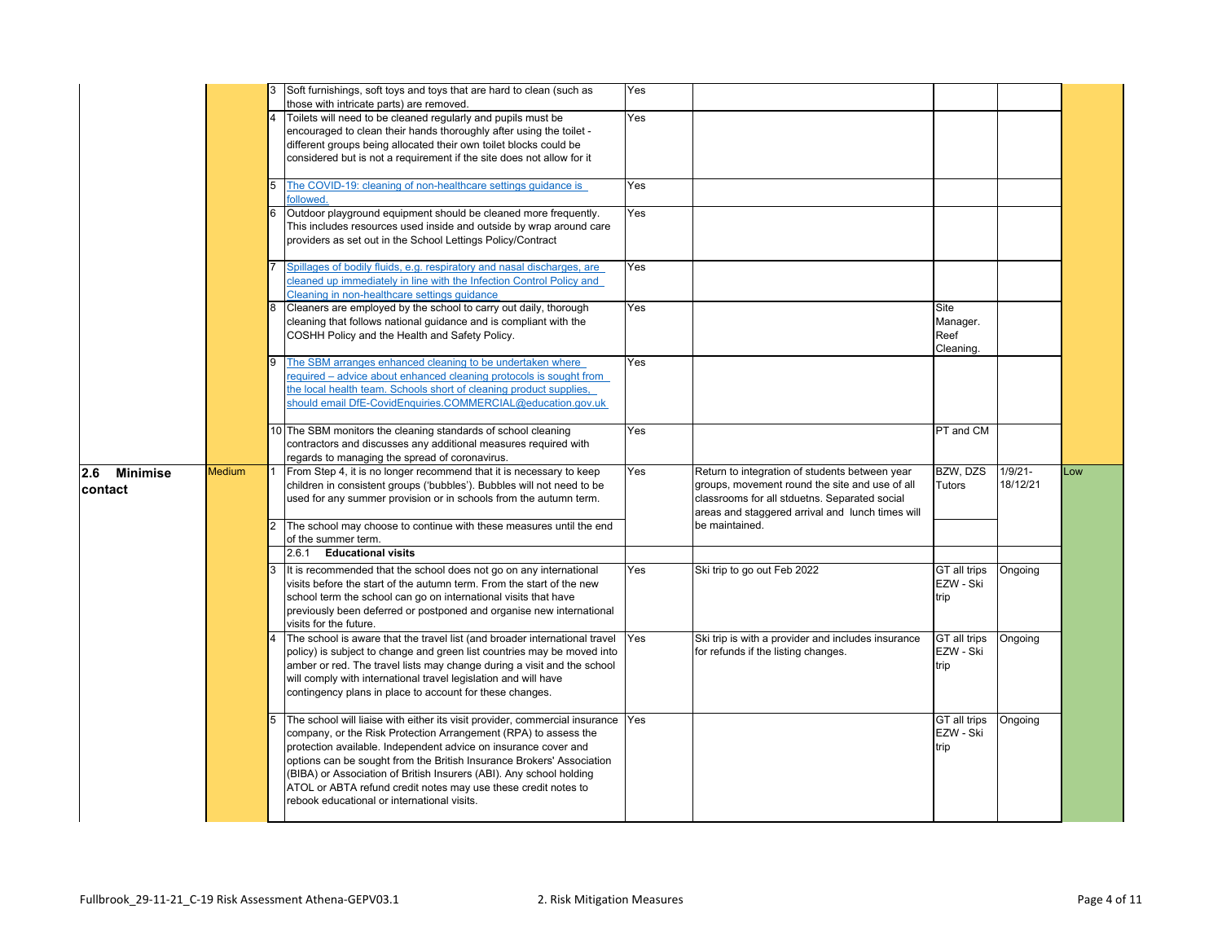|                            |        |   | Soft furnishings, soft toys and toys that are hard to clean (such as                                                                                                                                                                                                                                                                                                                                                                                                                   | Yes |                                                                                                                                                                                                       |                                       |                        |     |
|----------------------------|--------|---|----------------------------------------------------------------------------------------------------------------------------------------------------------------------------------------------------------------------------------------------------------------------------------------------------------------------------------------------------------------------------------------------------------------------------------------------------------------------------------------|-----|-------------------------------------------------------------------------------------------------------------------------------------------------------------------------------------------------------|---------------------------------------|------------------------|-----|
|                            |        |   | those with intricate parts) are removed.<br>Toilets will need to be cleaned regularly and pupils must be<br>encouraged to clean their hands thoroughly after using the toilet -<br>different groups being allocated their own toilet blocks could be<br>considered but is not a requirement if the site does not allow for it                                                                                                                                                          | Yes |                                                                                                                                                                                                       |                                       |                        |     |
|                            |        |   | The COVID-19: cleaning of non-healthcare settings guidance is<br>followed.                                                                                                                                                                                                                                                                                                                                                                                                             | Yes |                                                                                                                                                                                                       |                                       |                        |     |
|                            |        | 6 | Outdoor playground equipment should be cleaned more frequently.<br>This includes resources used inside and outside by wrap around care<br>providers as set out in the School Lettings Policy/Contract                                                                                                                                                                                                                                                                                  | Yes |                                                                                                                                                                                                       |                                       |                        |     |
|                            |        |   | Spillages of bodily fluids, e.g. respiratory and nasal discharges, are<br>cleaned up immediately in line with the Infection Control Policy and<br>Cleaning in non-healthcare settings quidance                                                                                                                                                                                                                                                                                         | Yes |                                                                                                                                                                                                       |                                       |                        |     |
|                            |        |   | Cleaners are employed by the school to carry out daily, thorough<br>cleaning that follows national guidance and is compliant with the<br>COSHH Policy and the Health and Safety Policy.                                                                                                                                                                                                                                                                                                | Yes |                                                                                                                                                                                                       | Site<br>Manager.<br>Reef<br>Cleaning. |                        |     |
|                            |        | Q | The SBM arranges enhanced cleaning to be undertaken where<br>required – advice about enhanced cleaning protocols is sought from<br>the local health team. Schools short of cleaning product supplies,<br>should email DfE-CovidEnquiries.COMMERCIAL@education.gov.uk                                                                                                                                                                                                                   | Yes |                                                                                                                                                                                                       |                                       |                        |     |
|                            |        |   | 10 The SBM monitors the cleaning standards of school cleaning<br>contractors and discusses any additional measures required with<br>regards to managing the spread of coronavirus.                                                                                                                                                                                                                                                                                                     | Yes |                                                                                                                                                                                                       | PT and CM                             |                        |     |
| Minimise<br>2.6<br>contact | Medium |   | From Step 4, it is no longer recommend that it is necessary to keep<br>children in consistent groups ('bubbles'). Bubbles will not need to be<br>used for any summer provision or in schools from the autumn term.                                                                                                                                                                                                                                                                     | Yes | Return to integration of students between year<br>groups, movement round the site and use of all<br>classrooms for all stduetns. Separated social<br>areas and staggered arrival and lunch times will | BZW, DZS<br>Tutors                    | $1/9/21 -$<br>18/12/21 | Low |
|                            |        |   | The school may choose to continue with these measures until the end<br>of the summer term.<br>2.6.1 Educational visits                                                                                                                                                                                                                                                                                                                                                                 |     | be maintained.                                                                                                                                                                                        |                                       |                        |     |
|                            |        |   | It is recommended that the school does not go on any international<br>visits before the start of the autumn term. From the start of the new<br>school term the school can go on international visits that have<br>previously been deferred or postponed and organise new international<br>visits for the future.                                                                                                                                                                       | Yes | Ski trip to go out Feb 2022                                                                                                                                                                           | GT all trips<br>EZW - Ski<br>trip     | Ongoing                |     |
|                            |        |   | The school is aware that the travel list (and broader international travel<br>policy) is subject to change and green list countries may be moved into<br>amber or red. The travel lists may change during a visit and the school<br>will comply with international travel legislation and will have<br>contingency plans in place to account for these changes.                                                                                                                        | Yes | Ski trip is with a provider and includes insurance<br>for refunds if the listing changes.                                                                                                             | GT all trips<br>EZW - Ski<br>trip     | Ongoing                |     |
|                            |        |   | The school will liaise with either its visit provider, commercial insurance Yes<br>company, or the Risk Protection Arrangement (RPA) to assess the<br>protection available. Independent advice on insurance cover and<br>options can be sought from the British Insurance Brokers' Association<br>(BIBA) or Association of British Insurers (ABI). Any school holding<br>ATOL or ABTA refund credit notes may use these credit notes to<br>rebook educational or international visits. |     |                                                                                                                                                                                                       | GT all trips<br>EZW - Ski<br>trip     | Ongoing                |     |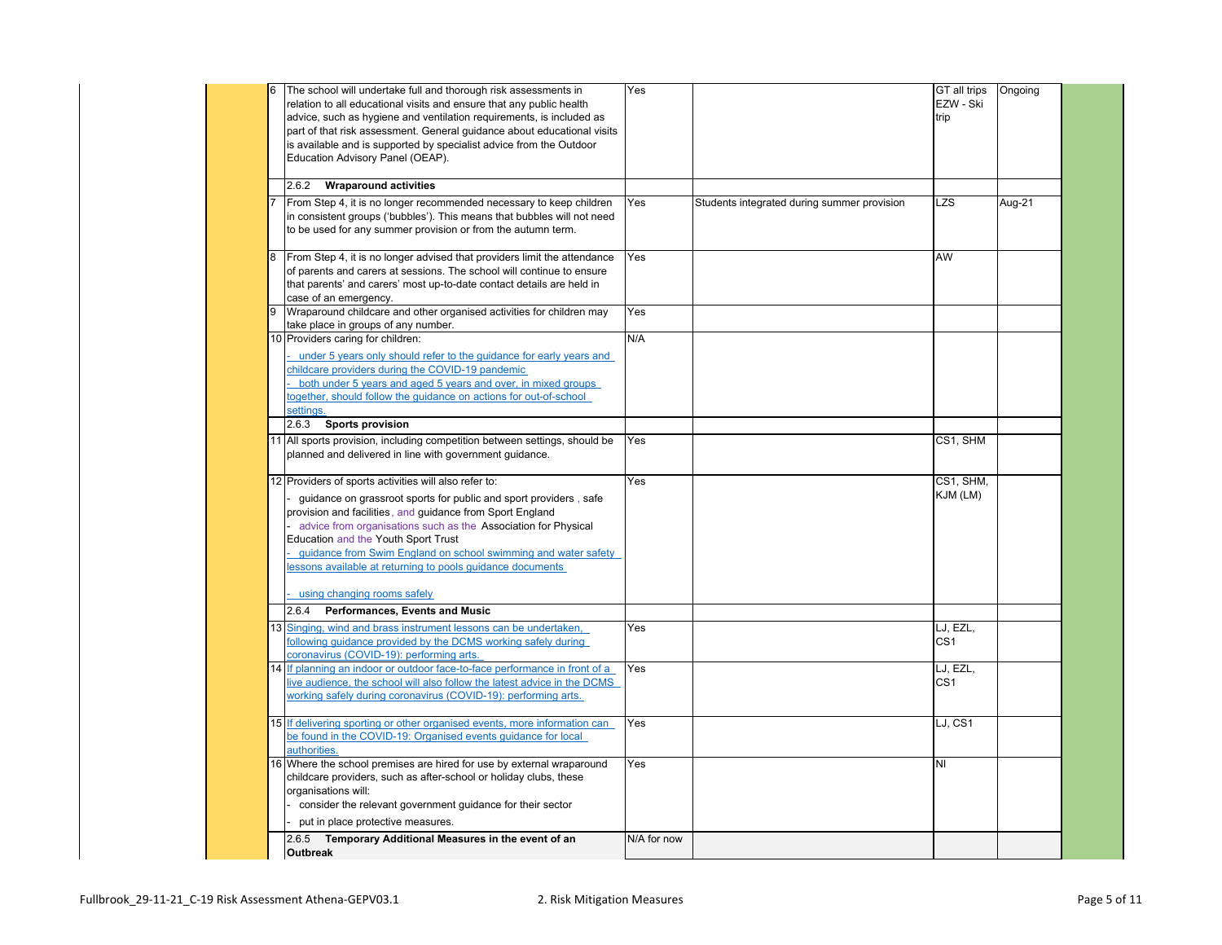| The school will undertake full and thorough risk assessments in           | Yes                                                                                                                                                                                                                                                                                                                                                                                                                                                                                                                                                                                                                                                                                                                                                                                                                                                                                                                                                                                                                                                                                                                                                                                                                                                                                                                                                                                                                                                                                                                                                                                                                                                                                                                                                                                                                                                                                                                                                                                                                                                                                                                                                                                                                                                                                                                                                                                                                                                                            |                                               |                                             | Ongoing                                                                                                                                       |
|---------------------------------------------------------------------------|--------------------------------------------------------------------------------------------------------------------------------------------------------------------------------------------------------------------------------------------------------------------------------------------------------------------------------------------------------------------------------------------------------------------------------------------------------------------------------------------------------------------------------------------------------------------------------------------------------------------------------------------------------------------------------------------------------------------------------------------------------------------------------------------------------------------------------------------------------------------------------------------------------------------------------------------------------------------------------------------------------------------------------------------------------------------------------------------------------------------------------------------------------------------------------------------------------------------------------------------------------------------------------------------------------------------------------------------------------------------------------------------------------------------------------------------------------------------------------------------------------------------------------------------------------------------------------------------------------------------------------------------------------------------------------------------------------------------------------------------------------------------------------------------------------------------------------------------------------------------------------------------------------------------------------------------------------------------------------------------------------------------------------------------------------------------------------------------------------------------------------------------------------------------------------------------------------------------------------------------------------------------------------------------------------------------------------------------------------------------------------------------------------------------------------------------------------------------------------|-----------------------------------------------|---------------------------------------------|-----------------------------------------------------------------------------------------------------------------------------------------------|
| relation to all educational visits and ensure that any public health      |                                                                                                                                                                                                                                                                                                                                                                                                                                                                                                                                                                                                                                                                                                                                                                                                                                                                                                                                                                                                                                                                                                                                                                                                                                                                                                                                                                                                                                                                                                                                                                                                                                                                                                                                                                                                                                                                                                                                                                                                                                                                                                                                                                                                                                                                                                                                                                                                                                                                                |                                               | EZW - Ski                                   |                                                                                                                                               |
|                                                                           |                                                                                                                                                                                                                                                                                                                                                                                                                                                                                                                                                                                                                                                                                                                                                                                                                                                                                                                                                                                                                                                                                                                                                                                                                                                                                                                                                                                                                                                                                                                                                                                                                                                                                                                                                                                                                                                                                                                                                                                                                                                                                                                                                                                                                                                                                                                                                                                                                                                                                |                                               |                                             |                                                                                                                                               |
|                                                                           |                                                                                                                                                                                                                                                                                                                                                                                                                                                                                                                                                                                                                                                                                                                                                                                                                                                                                                                                                                                                                                                                                                                                                                                                                                                                                                                                                                                                                                                                                                                                                                                                                                                                                                                                                                                                                                                                                                                                                                                                                                                                                                                                                                                                                                                                                                                                                                                                                                                                                |                                               |                                             |                                                                                                                                               |
|                                                                           |                                                                                                                                                                                                                                                                                                                                                                                                                                                                                                                                                                                                                                                                                                                                                                                                                                                                                                                                                                                                                                                                                                                                                                                                                                                                                                                                                                                                                                                                                                                                                                                                                                                                                                                                                                                                                                                                                                                                                                                                                                                                                                                                                                                                                                                                                                                                                                                                                                                                                |                                               |                                             |                                                                                                                                               |
|                                                                           |                                                                                                                                                                                                                                                                                                                                                                                                                                                                                                                                                                                                                                                                                                                                                                                                                                                                                                                                                                                                                                                                                                                                                                                                                                                                                                                                                                                                                                                                                                                                                                                                                                                                                                                                                                                                                                                                                                                                                                                                                                                                                                                                                                                                                                                                                                                                                                                                                                                                                |                                               |                                             |                                                                                                                                               |
|                                                                           |                                                                                                                                                                                                                                                                                                                                                                                                                                                                                                                                                                                                                                                                                                                                                                                                                                                                                                                                                                                                                                                                                                                                                                                                                                                                                                                                                                                                                                                                                                                                                                                                                                                                                                                                                                                                                                                                                                                                                                                                                                                                                                                                                                                                                                                                                                                                                                                                                                                                                |                                               |                                             |                                                                                                                                               |
| <b>Wraparound activities</b><br>2.6.2                                     |                                                                                                                                                                                                                                                                                                                                                                                                                                                                                                                                                                                                                                                                                                                                                                                                                                                                                                                                                                                                                                                                                                                                                                                                                                                                                                                                                                                                                                                                                                                                                                                                                                                                                                                                                                                                                                                                                                                                                                                                                                                                                                                                                                                                                                                                                                                                                                                                                                                                                |                                               |                                             |                                                                                                                                               |
|                                                                           |                                                                                                                                                                                                                                                                                                                                                                                                                                                                                                                                                                                                                                                                                                                                                                                                                                                                                                                                                                                                                                                                                                                                                                                                                                                                                                                                                                                                                                                                                                                                                                                                                                                                                                                                                                                                                                                                                                                                                                                                                                                                                                                                                                                                                                                                                                                                                                                                                                                                                |                                               | LZS                                         | Aug-21                                                                                                                                        |
|                                                                           |                                                                                                                                                                                                                                                                                                                                                                                                                                                                                                                                                                                                                                                                                                                                                                                                                                                                                                                                                                                                                                                                                                                                                                                                                                                                                                                                                                                                                                                                                                                                                                                                                                                                                                                                                                                                                                                                                                                                                                                                                                                                                                                                                                                                                                                                                                                                                                                                                                                                                |                                               |                                             |                                                                                                                                               |
|                                                                           |                                                                                                                                                                                                                                                                                                                                                                                                                                                                                                                                                                                                                                                                                                                                                                                                                                                                                                                                                                                                                                                                                                                                                                                                                                                                                                                                                                                                                                                                                                                                                                                                                                                                                                                                                                                                                                                                                                                                                                                                                                                                                                                                                                                                                                                                                                                                                                                                                                                                                |                                               |                                             |                                                                                                                                               |
|                                                                           |                                                                                                                                                                                                                                                                                                                                                                                                                                                                                                                                                                                                                                                                                                                                                                                                                                                                                                                                                                                                                                                                                                                                                                                                                                                                                                                                                                                                                                                                                                                                                                                                                                                                                                                                                                                                                                                                                                                                                                                                                                                                                                                                                                                                                                                                                                                                                                                                                                                                                |                                               |                                             |                                                                                                                                               |
|                                                                           | Yes                                                                                                                                                                                                                                                                                                                                                                                                                                                                                                                                                                                                                                                                                                                                                                                                                                                                                                                                                                                                                                                                                                                                                                                                                                                                                                                                                                                                                                                                                                                                                                                                                                                                                                                                                                                                                                                                                                                                                                                                                                                                                                                                                                                                                                                                                                                                                                                                                                                                            |                                               | AW                                          |                                                                                                                                               |
|                                                                           |                                                                                                                                                                                                                                                                                                                                                                                                                                                                                                                                                                                                                                                                                                                                                                                                                                                                                                                                                                                                                                                                                                                                                                                                                                                                                                                                                                                                                                                                                                                                                                                                                                                                                                                                                                                                                                                                                                                                                                                                                                                                                                                                                                                                                                                                                                                                                                                                                                                                                |                                               |                                             |                                                                                                                                               |
|                                                                           |                                                                                                                                                                                                                                                                                                                                                                                                                                                                                                                                                                                                                                                                                                                                                                                                                                                                                                                                                                                                                                                                                                                                                                                                                                                                                                                                                                                                                                                                                                                                                                                                                                                                                                                                                                                                                                                                                                                                                                                                                                                                                                                                                                                                                                                                                                                                                                                                                                                                                |                                               |                                             |                                                                                                                                               |
|                                                                           |                                                                                                                                                                                                                                                                                                                                                                                                                                                                                                                                                                                                                                                                                                                                                                                                                                                                                                                                                                                                                                                                                                                                                                                                                                                                                                                                                                                                                                                                                                                                                                                                                                                                                                                                                                                                                                                                                                                                                                                                                                                                                                                                                                                                                                                                                                                                                                                                                                                                                |                                               |                                             |                                                                                                                                               |
|                                                                           | Yes                                                                                                                                                                                                                                                                                                                                                                                                                                                                                                                                                                                                                                                                                                                                                                                                                                                                                                                                                                                                                                                                                                                                                                                                                                                                                                                                                                                                                                                                                                                                                                                                                                                                                                                                                                                                                                                                                                                                                                                                                                                                                                                                                                                                                                                                                                                                                                                                                                                                            |                                               |                                             |                                                                                                                                               |
|                                                                           |                                                                                                                                                                                                                                                                                                                                                                                                                                                                                                                                                                                                                                                                                                                                                                                                                                                                                                                                                                                                                                                                                                                                                                                                                                                                                                                                                                                                                                                                                                                                                                                                                                                                                                                                                                                                                                                                                                                                                                                                                                                                                                                                                                                                                                                                                                                                                                                                                                                                                |                                               |                                             |                                                                                                                                               |
| 10 Providers caring for children:                                         | N/A                                                                                                                                                                                                                                                                                                                                                                                                                                                                                                                                                                                                                                                                                                                                                                                                                                                                                                                                                                                                                                                                                                                                                                                                                                                                                                                                                                                                                                                                                                                                                                                                                                                                                                                                                                                                                                                                                                                                                                                                                                                                                                                                                                                                                                                                                                                                                                                                                                                                            |                                               |                                             |                                                                                                                                               |
|                                                                           |                                                                                                                                                                                                                                                                                                                                                                                                                                                                                                                                                                                                                                                                                                                                                                                                                                                                                                                                                                                                                                                                                                                                                                                                                                                                                                                                                                                                                                                                                                                                                                                                                                                                                                                                                                                                                                                                                                                                                                                                                                                                                                                                                                                                                                                                                                                                                                                                                                                                                |                                               |                                             |                                                                                                                                               |
|                                                                           |                                                                                                                                                                                                                                                                                                                                                                                                                                                                                                                                                                                                                                                                                                                                                                                                                                                                                                                                                                                                                                                                                                                                                                                                                                                                                                                                                                                                                                                                                                                                                                                                                                                                                                                                                                                                                                                                                                                                                                                                                                                                                                                                                                                                                                                                                                                                                                                                                                                                                |                                               |                                             |                                                                                                                                               |
|                                                                           |                                                                                                                                                                                                                                                                                                                                                                                                                                                                                                                                                                                                                                                                                                                                                                                                                                                                                                                                                                                                                                                                                                                                                                                                                                                                                                                                                                                                                                                                                                                                                                                                                                                                                                                                                                                                                                                                                                                                                                                                                                                                                                                                                                                                                                                                                                                                                                                                                                                                                |                                               |                                             |                                                                                                                                               |
|                                                                           |                                                                                                                                                                                                                                                                                                                                                                                                                                                                                                                                                                                                                                                                                                                                                                                                                                                                                                                                                                                                                                                                                                                                                                                                                                                                                                                                                                                                                                                                                                                                                                                                                                                                                                                                                                                                                                                                                                                                                                                                                                                                                                                                                                                                                                                                                                                                                                                                                                                                                |                                               |                                             |                                                                                                                                               |
|                                                                           |                                                                                                                                                                                                                                                                                                                                                                                                                                                                                                                                                                                                                                                                                                                                                                                                                                                                                                                                                                                                                                                                                                                                                                                                                                                                                                                                                                                                                                                                                                                                                                                                                                                                                                                                                                                                                                                                                                                                                                                                                                                                                                                                                                                                                                                                                                                                                                                                                                                                                |                                               |                                             |                                                                                                                                               |
|                                                                           |                                                                                                                                                                                                                                                                                                                                                                                                                                                                                                                                                                                                                                                                                                                                                                                                                                                                                                                                                                                                                                                                                                                                                                                                                                                                                                                                                                                                                                                                                                                                                                                                                                                                                                                                                                                                                                                                                                                                                                                                                                                                                                                                                                                                                                                                                                                                                                                                                                                                                |                                               |                                             |                                                                                                                                               |
|                                                                           |                                                                                                                                                                                                                                                                                                                                                                                                                                                                                                                                                                                                                                                                                                                                                                                                                                                                                                                                                                                                                                                                                                                                                                                                                                                                                                                                                                                                                                                                                                                                                                                                                                                                                                                                                                                                                                                                                                                                                                                                                                                                                                                                                                                                                                                                                                                                                                                                                                                                                |                                               |                                             |                                                                                                                                               |
|                                                                           |                                                                                                                                                                                                                                                                                                                                                                                                                                                                                                                                                                                                                                                                                                                                                                                                                                                                                                                                                                                                                                                                                                                                                                                                                                                                                                                                                                                                                                                                                                                                                                                                                                                                                                                                                                                                                                                                                                                                                                                                                                                                                                                                                                                                                                                                                                                                                                                                                                                                                |                                               |                                             |                                                                                                                                               |
|                                                                           |                                                                                                                                                                                                                                                                                                                                                                                                                                                                                                                                                                                                                                                                                                                                                                                                                                                                                                                                                                                                                                                                                                                                                                                                                                                                                                                                                                                                                                                                                                                                                                                                                                                                                                                                                                                                                                                                                                                                                                                                                                                                                                                                                                                                                                                                                                                                                                                                                                                                                |                                               |                                             |                                                                                                                                               |
|                                                                           |                                                                                                                                                                                                                                                                                                                                                                                                                                                                                                                                                                                                                                                                                                                                                                                                                                                                                                                                                                                                                                                                                                                                                                                                                                                                                                                                                                                                                                                                                                                                                                                                                                                                                                                                                                                                                                                                                                                                                                                                                                                                                                                                                                                                                                                                                                                                                                                                                                                                                |                                               |                                             |                                                                                                                                               |
|                                                                           |                                                                                                                                                                                                                                                                                                                                                                                                                                                                                                                                                                                                                                                                                                                                                                                                                                                                                                                                                                                                                                                                                                                                                                                                                                                                                                                                                                                                                                                                                                                                                                                                                                                                                                                                                                                                                                                                                                                                                                                                                                                                                                                                                                                                                                                                                                                                                                                                                                                                                |                                               |                                             |                                                                                                                                               |
|                                                                           |                                                                                                                                                                                                                                                                                                                                                                                                                                                                                                                                                                                                                                                                                                                                                                                                                                                                                                                                                                                                                                                                                                                                                                                                                                                                                                                                                                                                                                                                                                                                                                                                                                                                                                                                                                                                                                                                                                                                                                                                                                                                                                                                                                                                                                                                                                                                                                                                                                                                                |                                               |                                             |                                                                                                                                               |
|                                                                           |                                                                                                                                                                                                                                                                                                                                                                                                                                                                                                                                                                                                                                                                                                                                                                                                                                                                                                                                                                                                                                                                                                                                                                                                                                                                                                                                                                                                                                                                                                                                                                                                                                                                                                                                                                                                                                                                                                                                                                                                                                                                                                                                                                                                                                                                                                                                                                                                                                                                                |                                               |                                             |                                                                                                                                               |
|                                                                           |                                                                                                                                                                                                                                                                                                                                                                                                                                                                                                                                                                                                                                                                                                                                                                                                                                                                                                                                                                                                                                                                                                                                                                                                                                                                                                                                                                                                                                                                                                                                                                                                                                                                                                                                                                                                                                                                                                                                                                                                                                                                                                                                                                                                                                                                                                                                                                                                                                                                                |                                               |                                             |                                                                                                                                               |
|                                                                           |                                                                                                                                                                                                                                                                                                                                                                                                                                                                                                                                                                                                                                                                                                                                                                                                                                                                                                                                                                                                                                                                                                                                                                                                                                                                                                                                                                                                                                                                                                                                                                                                                                                                                                                                                                                                                                                                                                                                                                                                                                                                                                                                                                                                                                                                                                                                                                                                                                                                                |                                               |                                             |                                                                                                                                               |
|                                                                           |                                                                                                                                                                                                                                                                                                                                                                                                                                                                                                                                                                                                                                                                                                                                                                                                                                                                                                                                                                                                                                                                                                                                                                                                                                                                                                                                                                                                                                                                                                                                                                                                                                                                                                                                                                                                                                                                                                                                                                                                                                                                                                                                                                                                                                                                                                                                                                                                                                                                                |                                               |                                             |                                                                                                                                               |
|                                                                           |                                                                                                                                                                                                                                                                                                                                                                                                                                                                                                                                                                                                                                                                                                                                                                                                                                                                                                                                                                                                                                                                                                                                                                                                                                                                                                                                                                                                                                                                                                                                                                                                                                                                                                                                                                                                                                                                                                                                                                                                                                                                                                                                                                                                                                                                                                                                                                                                                                                                                |                                               |                                             |                                                                                                                                               |
|                                                                           |                                                                                                                                                                                                                                                                                                                                                                                                                                                                                                                                                                                                                                                                                                                                                                                                                                                                                                                                                                                                                                                                                                                                                                                                                                                                                                                                                                                                                                                                                                                                                                                                                                                                                                                                                                                                                                                                                                                                                                                                                                                                                                                                                                                                                                                                                                                                                                                                                                                                                |                                               |                                             |                                                                                                                                               |
|                                                                           |                                                                                                                                                                                                                                                                                                                                                                                                                                                                                                                                                                                                                                                                                                                                                                                                                                                                                                                                                                                                                                                                                                                                                                                                                                                                                                                                                                                                                                                                                                                                                                                                                                                                                                                                                                                                                                                                                                                                                                                                                                                                                                                                                                                                                                                                                                                                                                                                                                                                                |                                               |                                             |                                                                                                                                               |
|                                                                           |                                                                                                                                                                                                                                                                                                                                                                                                                                                                                                                                                                                                                                                                                                                                                                                                                                                                                                                                                                                                                                                                                                                                                                                                                                                                                                                                                                                                                                                                                                                                                                                                                                                                                                                                                                                                                                                                                                                                                                                                                                                                                                                                                                                                                                                                                                                                                                                                                                                                                |                                               |                                             |                                                                                                                                               |
|                                                                           |                                                                                                                                                                                                                                                                                                                                                                                                                                                                                                                                                                                                                                                                                                                                                                                                                                                                                                                                                                                                                                                                                                                                                                                                                                                                                                                                                                                                                                                                                                                                                                                                                                                                                                                                                                                                                                                                                                                                                                                                                                                                                                                                                                                                                                                                                                                                                                                                                                                                                |                                               |                                             |                                                                                                                                               |
|                                                                           |                                                                                                                                                                                                                                                                                                                                                                                                                                                                                                                                                                                                                                                                                                                                                                                                                                                                                                                                                                                                                                                                                                                                                                                                                                                                                                                                                                                                                                                                                                                                                                                                                                                                                                                                                                                                                                                                                                                                                                                                                                                                                                                                                                                                                                                                                                                                                                                                                                                                                |                                               |                                             |                                                                                                                                               |
|                                                                           |                                                                                                                                                                                                                                                                                                                                                                                                                                                                                                                                                                                                                                                                                                                                                                                                                                                                                                                                                                                                                                                                                                                                                                                                                                                                                                                                                                                                                                                                                                                                                                                                                                                                                                                                                                                                                                                                                                                                                                                                                                                                                                                                                                                                                                                                                                                                                                                                                                                                                |                                               |                                             |                                                                                                                                               |
|                                                                           |                                                                                                                                                                                                                                                                                                                                                                                                                                                                                                                                                                                                                                                                                                                                                                                                                                                                                                                                                                                                                                                                                                                                                                                                                                                                                                                                                                                                                                                                                                                                                                                                                                                                                                                                                                                                                                                                                                                                                                                                                                                                                                                                                                                                                                                                                                                                                                                                                                                                                |                                               |                                             |                                                                                                                                               |
|                                                                           |                                                                                                                                                                                                                                                                                                                                                                                                                                                                                                                                                                                                                                                                                                                                                                                                                                                                                                                                                                                                                                                                                                                                                                                                                                                                                                                                                                                                                                                                                                                                                                                                                                                                                                                                                                                                                                                                                                                                                                                                                                                                                                                                                                                                                                                                                                                                                                                                                                                                                |                                               |                                             |                                                                                                                                               |
|                                                                           |                                                                                                                                                                                                                                                                                                                                                                                                                                                                                                                                                                                                                                                                                                                                                                                                                                                                                                                                                                                                                                                                                                                                                                                                                                                                                                                                                                                                                                                                                                                                                                                                                                                                                                                                                                                                                                                                                                                                                                                                                                                                                                                                                                                                                                                                                                                                                                                                                                                                                |                                               |                                             |                                                                                                                                               |
|                                                                           |                                                                                                                                                                                                                                                                                                                                                                                                                                                                                                                                                                                                                                                                                                                                                                                                                                                                                                                                                                                                                                                                                                                                                                                                                                                                                                                                                                                                                                                                                                                                                                                                                                                                                                                                                                                                                                                                                                                                                                                                                                                                                                                                                                                                                                                                                                                                                                                                                                                                                |                                               |                                             |                                                                                                                                               |
|                                                                           |                                                                                                                                                                                                                                                                                                                                                                                                                                                                                                                                                                                                                                                                                                                                                                                                                                                                                                                                                                                                                                                                                                                                                                                                                                                                                                                                                                                                                                                                                                                                                                                                                                                                                                                                                                                                                                                                                                                                                                                                                                                                                                                                                                                                                                                                                                                                                                                                                                                                                |                                               |                                             |                                                                                                                                               |
|                                                                           |                                                                                                                                                                                                                                                                                                                                                                                                                                                                                                                                                                                                                                                                                                                                                                                                                                                                                                                                                                                                                                                                                                                                                                                                                                                                                                                                                                                                                                                                                                                                                                                                                                                                                                                                                                                                                                                                                                                                                                                                                                                                                                                                                                                                                                                                                                                                                                                                                                                                                |                                               |                                             |                                                                                                                                               |
|                                                                           |                                                                                                                                                                                                                                                                                                                                                                                                                                                                                                                                                                                                                                                                                                                                                                                                                                                                                                                                                                                                                                                                                                                                                                                                                                                                                                                                                                                                                                                                                                                                                                                                                                                                                                                                                                                                                                                                                                                                                                                                                                                                                                                                                                                                                                                                                                                                                                                                                                                                                |                                               |                                             |                                                                                                                                               |
|                                                                           |                                                                                                                                                                                                                                                                                                                                                                                                                                                                                                                                                                                                                                                                                                                                                                                                                                                                                                                                                                                                                                                                                                                                                                                                                                                                                                                                                                                                                                                                                                                                                                                                                                                                                                                                                                                                                                                                                                                                                                                                                                                                                                                                                                                                                                                                                                                                                                                                                                                                                |                                               |                                             |                                                                                                                                               |
|                                                                           |                                                                                                                                                                                                                                                                                                                                                                                                                                                                                                                                                                                                                                                                                                                                                                                                                                                                                                                                                                                                                                                                                                                                                                                                                                                                                                                                                                                                                                                                                                                                                                                                                                                                                                                                                                                                                                                                                                                                                                                                                                                                                                                                                                                                                                                                                                                                                                                                                                                                                |                                               |                                             |                                                                                                                                               |
| childcare providers, such as after-school or holiday clubs, these         |                                                                                                                                                                                                                                                                                                                                                                                                                                                                                                                                                                                                                                                                                                                                                                                                                                                                                                                                                                                                                                                                                                                                                                                                                                                                                                                                                                                                                                                                                                                                                                                                                                                                                                                                                                                                                                                                                                                                                                                                                                                                                                                                                                                                                                                                                                                                                                                                                                                                                |                                               |                                             |                                                                                                                                               |
| organisations will:                                                       |                                                                                                                                                                                                                                                                                                                                                                                                                                                                                                                                                                                                                                                                                                                                                                                                                                                                                                                                                                                                                                                                                                                                                                                                                                                                                                                                                                                                                                                                                                                                                                                                                                                                                                                                                                                                                                                                                                                                                                                                                                                                                                                                                                                                                                                                                                                                                                                                                                                                                |                                               |                                             |                                                                                                                                               |
| consider the relevant government guidance for their sector                |                                                                                                                                                                                                                                                                                                                                                                                                                                                                                                                                                                                                                                                                                                                                                                                                                                                                                                                                                                                                                                                                                                                                                                                                                                                                                                                                                                                                                                                                                                                                                                                                                                                                                                                                                                                                                                                                                                                                                                                                                                                                                                                                                                                                                                                                                                                                                                                                                                                                                |                                               |                                             |                                                                                                                                               |
| put in place protective measures.                                         |                                                                                                                                                                                                                                                                                                                                                                                                                                                                                                                                                                                                                                                                                                                                                                                                                                                                                                                                                                                                                                                                                                                                                                                                                                                                                                                                                                                                                                                                                                                                                                                                                                                                                                                                                                                                                                                                                                                                                                                                                                                                                                                                                                                                                                                                                                                                                                                                                                                                                |                                               |                                             |                                                                                                                                               |
| 2.6.5 Temporary Additional Measures in the event of an<br><b>Outbreak</b> | N/A for now                                                                                                                                                                                                                                                                                                                                                                                                                                                                                                                                                                                                                                                                                                                                                                                                                                                                                                                                                                                                                                                                                                                                                                                                                                                                                                                                                                                                                                                                                                                                                                                                                                                                                                                                                                                                                                                                                                                                                                                                                                                                                                                                                                                                                                                                                                                                                                                                                                                                    |                                               |                                             |                                                                                                                                               |
|                                                                           | advice, such as hygiene and ventilation requirements, is included as<br>part of that risk assessment. General guidance about educational visits<br>is available and is supported by specialist advice from the Outdoor<br>Education Advisory Panel (OEAP).<br>From Step 4, it is no longer recommended necessary to keep children<br>in consistent groups ('bubbles'). This means that bubbles will not need<br>to be used for any summer provision or from the autumn term.<br>From Step 4, it is no longer advised that providers limit the attendance<br>of parents and carers at sessions. The school will continue to ensure<br>that parents' and carers' most up-to-date contact details are held in<br>case of an emergency.<br>Wraparound childcare and other organised activities for children may<br>take place in groups of any number.<br>under 5 years only should refer to the quidance for early years and<br>childcare providers during the COVID-19 pandemic<br>both under 5 years and aged 5 years and over, in mixed groups<br>together, should follow the guidance on actions for out-of-school<br>settings.<br><b>Sports provision</b><br>2.6.3<br>11 All sports provision, including competition between settings, should be<br>planned and delivered in line with government guidance.<br>12 Providers of sports activities will also refer to:<br>guidance on grassroot sports for public and sport providers, safe<br>provision and facilities, and guidance from Sport England<br>advice from organisations such as the Association for Physical<br>Education and the Youth Sport Trust<br>quidance from Swim England on school swimming and water safety<br>lessons available at returning to pools quidance documents<br>using changing rooms safely<br>Performances, Events and Music<br>2.6.4<br>13 Singing, wind and brass instrument lessons can be undertaken,<br>following guidance provided by the DCMS working safely during<br>coronavirus (COVID-19): performing arts.<br>14 If planning an indoor or outdoor face-to-face performance in front of a<br>ive audience, the school will also follow the latest advice in the DCMS<br>working safely during coronavirus (COVID-19): performing arts.<br>15 If delivering sporting or other organised events, more information can<br>be found in the COVID-19: Organised events quidance for local<br>authorities.<br>16 Where the school premises are hired for use by external wraparound | Yes<br>Yes<br>Yes<br>Yes<br>Yes<br>Yes<br>Yes | Students integrated during summer provision | GT all trips<br>trip<br>CS1, SHM<br>CS1, SHM,<br>KJM (LM)<br>LJ, EZL,<br>CS <sub>1</sub><br>LJ, EZL,<br>CS <sub>1</sub><br>$LJ$ , $CS1$<br>NI |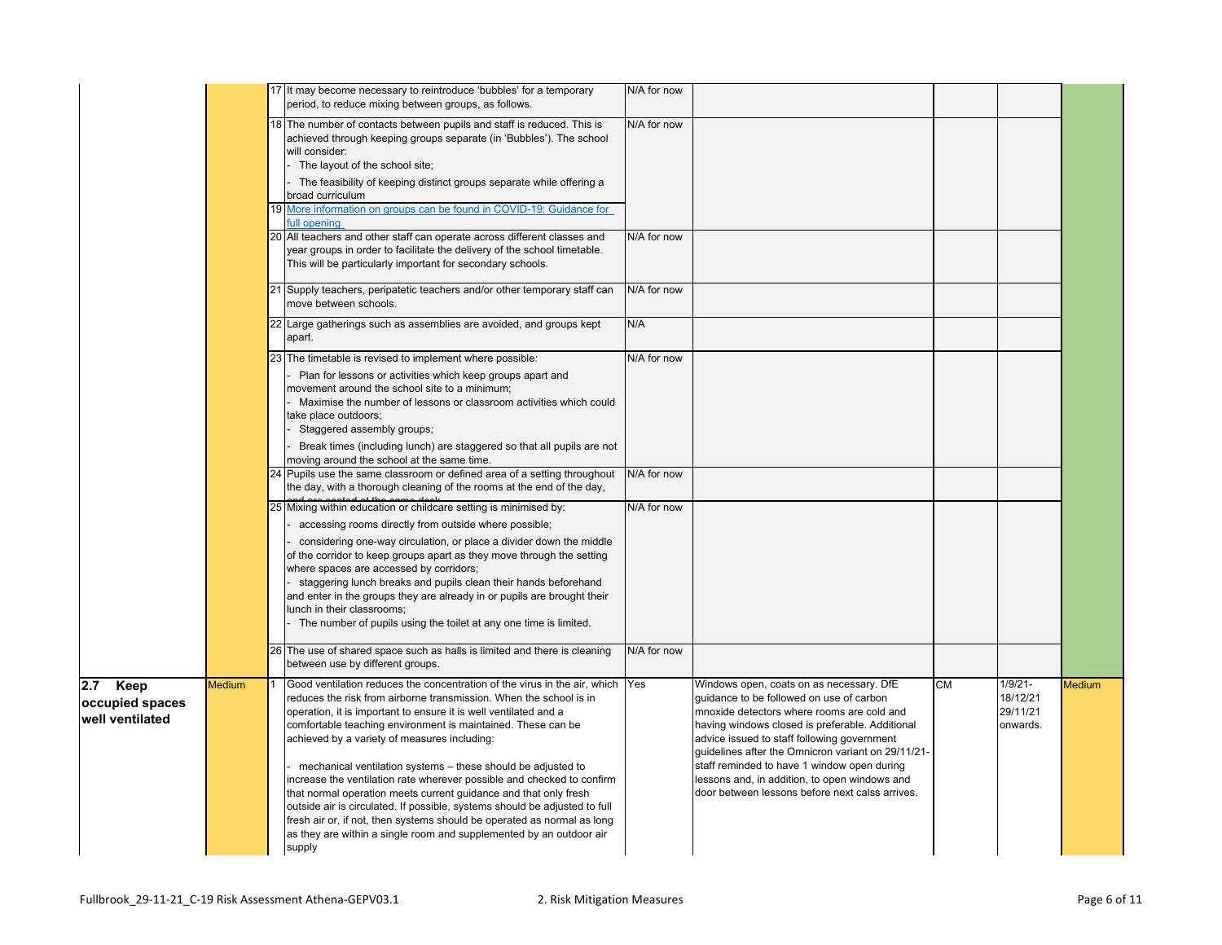|                                                |        | 17 It may become necessary to reintroduce 'bubbles' for a temporary<br>period, to reduce mixing between groups, as follows.                                                                                                                                                                                                                                                                                                                                                                                                                                                                                                                                                                                                                                                                                                                                                                                                                                                                                                                                                          | N/A for now                               |                                                                                                                                                                                                                                                                                                                                                                                                                                               |    |                                                |        |
|------------------------------------------------|--------|--------------------------------------------------------------------------------------------------------------------------------------------------------------------------------------------------------------------------------------------------------------------------------------------------------------------------------------------------------------------------------------------------------------------------------------------------------------------------------------------------------------------------------------------------------------------------------------------------------------------------------------------------------------------------------------------------------------------------------------------------------------------------------------------------------------------------------------------------------------------------------------------------------------------------------------------------------------------------------------------------------------------------------------------------------------------------------------|-------------------------------------------|-----------------------------------------------------------------------------------------------------------------------------------------------------------------------------------------------------------------------------------------------------------------------------------------------------------------------------------------------------------------------------------------------------------------------------------------------|----|------------------------------------------------|--------|
|                                                |        | 18 The number of contacts between pupils and staff is reduced. This is<br>achieved through keeping groups separate (in 'Bubbles'). The school<br>will consider:<br>The layout of the school site;<br>The feasibility of keeping distinct groups separate while offering a<br>broad curriculum<br>19 More information on groups can be found in COVID-19: Guidance for                                                                                                                                                                                                                                                                                                                                                                                                                                                                                                                                                                                                                                                                                                                | N/A for now                               |                                                                                                                                                                                                                                                                                                                                                                                                                                               |    |                                                |        |
|                                                |        | full opening<br>20 All teachers and other staff can operate across different classes and<br>year groups in order to facilitate the delivery of the school timetable.<br>This will be particularly important for secondary schools.                                                                                                                                                                                                                                                                                                                                                                                                                                                                                                                                                                                                                                                                                                                                                                                                                                                   | N/A for now                               |                                                                                                                                                                                                                                                                                                                                                                                                                                               |    |                                                |        |
|                                                |        | 21 Supply teachers, peripatetic teachers and/or other temporary staff can<br>move between schools.                                                                                                                                                                                                                                                                                                                                                                                                                                                                                                                                                                                                                                                                                                                                                                                                                                                                                                                                                                                   | N/A for now                               |                                                                                                                                                                                                                                                                                                                                                                                                                                               |    |                                                |        |
|                                                |        | 22 Large gatherings such as assemblies are avoided, and groups kept<br>apart.                                                                                                                                                                                                                                                                                                                                                                                                                                                                                                                                                                                                                                                                                                                                                                                                                                                                                                                                                                                                        | N/A                                       |                                                                                                                                                                                                                                                                                                                                                                                                                                               |    |                                                |        |
|                                                |        | 23 The timetable is revised to implement where possible:<br>Plan for lessons or activities which keep groups apart and<br>movement around the school site to a minimum;<br>Maximise the number of lessons or classroom activities which could<br>take place outdoors;<br>Staggered assembly groups;<br>Break times (including lunch) are staggered so that all pupils are not<br>moving around the school at the same time.<br>24 Pupils use the same classroom or defined area of a setting throughout<br>the day, with a thorough cleaning of the rooms at the end of the day,<br>25 Mixing within education or childcare setting is minimised by:<br>accessing rooms directly from outside where possible;<br>considering one-way circulation, or place a divider down the middle<br>of the corridor to keep groups apart as they move through the setting<br>where spaces are accessed by corridors;<br>staggering lunch breaks and pupils clean their hands beforehand<br>and enter in the groups they are already in or pupils are brought their<br>lunch in their classrooms; | N/A for now<br>N/A for now<br>N/A for now |                                                                                                                                                                                                                                                                                                                                                                                                                                               |    |                                                |        |
|                                                |        | The number of pupils using the toilet at any one time is limited.<br>26 The use of shared space such as halls is limited and there is cleaning<br>between use by different groups.                                                                                                                                                                                                                                                                                                                                                                                                                                                                                                                                                                                                                                                                                                                                                                                                                                                                                                   | N/A for now                               |                                                                                                                                                                                                                                                                                                                                                                                                                                               |    |                                                |        |
| 2.7 Keep<br>occupied spaces<br>well ventilated | Medium | Good ventilation reduces the concentration of the virus in the air, which Yes<br>reduces the risk from airborne transmission. When the school is in<br>operation, it is important to ensure it is well ventilated and a<br>comfortable teaching environment is maintained. These can be<br>achieved by a variety of measures including:<br>mechanical ventilation systems - these should be adjusted to<br>increase the ventilation rate wherever possible and checked to confirm<br>that normal operation meets current quidance and that only fresh<br>outside air is circulated. If possible, systems should be adjusted to full<br>fresh air or, if not, then systems should be operated as normal as long<br>as they are within a single room and supplemented by an outdoor air<br>supply                                                                                                                                                                                                                                                                                      |                                           | Windows open, coats on as necessary. DfE<br>quidance to be followed on use of carbon<br>mnoxide detectors where rooms are cold and<br>having windows closed is preferable. Additional<br>advice issued to staff following government<br>guidelines after the Omnicron variant on 29/11/21-<br>staff reminded to have 1 window open during<br>lessons and, in addition, to open windows and<br>door between lessons before next calss arrives. | CМ | $1/9/21 -$<br>18/12/21<br>29/11/21<br>onwards. | Medium |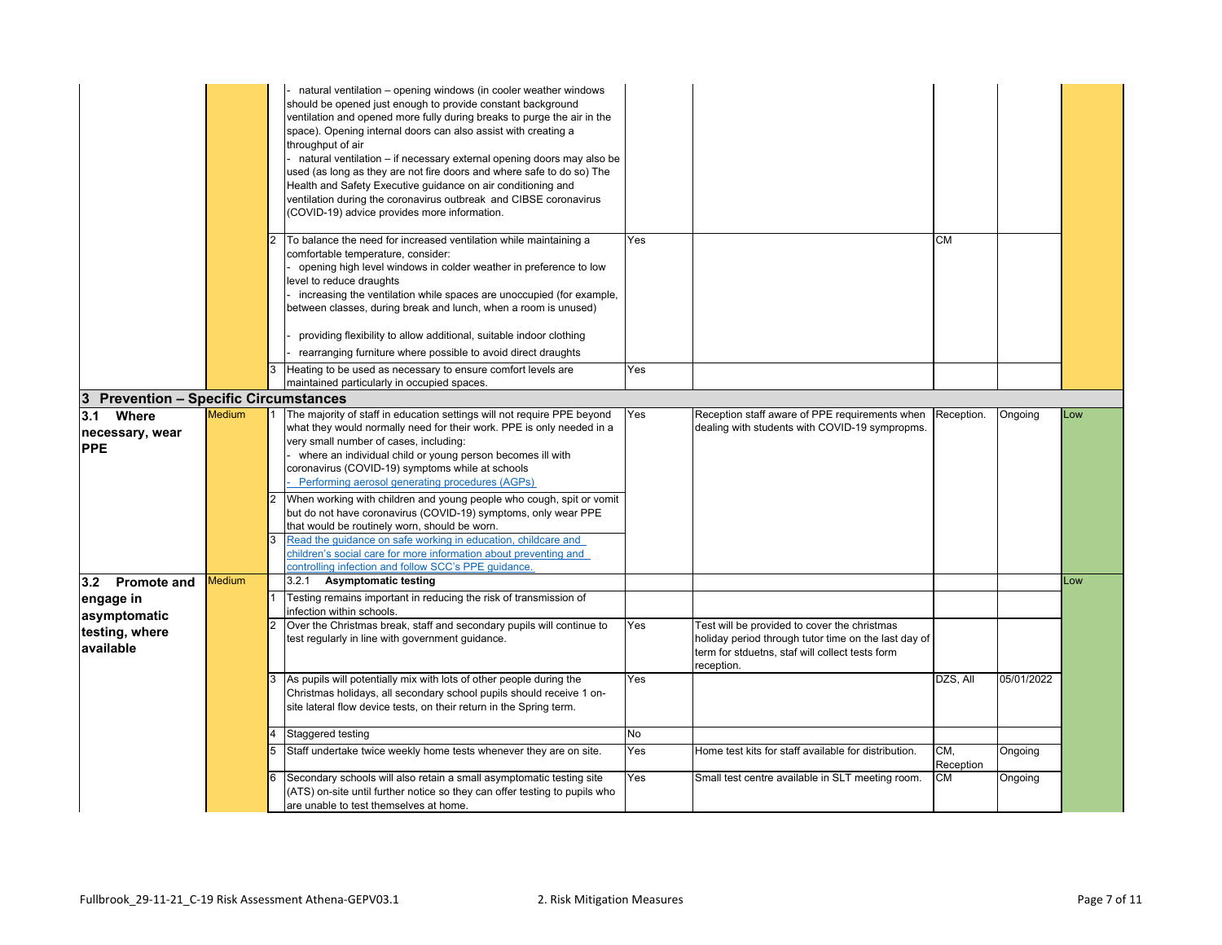|                                       |               |                | natural ventilation - opening windows (in cooler weather windows<br>should be opened just enough to provide constant background<br>ventilation and opened more fully during breaks to purge the air in the<br>space). Opening internal doors can also assist with creating a<br>throughput of air<br>natural ventilation - if necessary external opening doors may also be<br>used (as long as they are not fire doors and where safe to do so) The<br>Health and Safety Executive guidance on air conditioning and<br>ventilation during the coronavirus outbreak and CIBSE coronavirus<br>(COVID-19) advice provides more information. |     |                                                                                                                                                                       |                  |            |      |
|---------------------------------------|---------------|----------------|------------------------------------------------------------------------------------------------------------------------------------------------------------------------------------------------------------------------------------------------------------------------------------------------------------------------------------------------------------------------------------------------------------------------------------------------------------------------------------------------------------------------------------------------------------------------------------------------------------------------------------------|-----|-----------------------------------------------------------------------------------------------------------------------------------------------------------------------|------------------|------------|------|
|                                       |               |                | To balance the need for increased ventilation while maintaining a<br>comfortable temperature, consider:<br>opening high level windows in colder weather in preference to low<br>level to reduce draughts<br>- increasing the ventilation while spaces are unoccupied (for example,<br>between classes, during break and lunch, when a room is unused)<br>providing flexibility to allow additional, suitable indoor clothing<br>rearranging furniture where possible to avoid direct draughts                                                                                                                                            | Yes |                                                                                                                                                                       | <b>CM</b>        |            |      |
|                                       |               | 3              | Heating to be used as necessary to ensure comfort levels are                                                                                                                                                                                                                                                                                                                                                                                                                                                                                                                                                                             | Yes |                                                                                                                                                                       |                  |            |      |
|                                       |               |                | maintained particularly in occupied spaces.                                                                                                                                                                                                                                                                                                                                                                                                                                                                                                                                                                                              |     |                                                                                                                                                                       |                  |            |      |
| 3 Prevention - Specific Circumstances |               |                |                                                                                                                                                                                                                                                                                                                                                                                                                                                                                                                                                                                                                                          |     |                                                                                                                                                                       |                  |            |      |
| 3.1<br>Where                          | <b>Medium</b> |                | The majority of staff in education settings will not require PPE beyond                                                                                                                                                                                                                                                                                                                                                                                                                                                                                                                                                                  | Yes | Reception staff aware of PPE requirements when                                                                                                                        | Reception.       | Ongoing    | Low  |
| necessary, wear<br><b>PPE</b>         |               |                | what they would normally need for their work. PPE is only needed in a<br>very small number of cases, including:<br>- where an individual child or young person becomes ill with<br>coronavirus (COVID-19) symptoms while at schools<br>Performing aerosol generating procedures (AGPs)<br>When working with children and young people who cough, spit or vomit<br>but do not have coronavirus (COVID-19) symptoms, only wear PPE<br>that would be routinely worn, should be worn.<br>Read the guidance on safe working in education, childcare and<br>children's social care for more information about preventing and                   |     | dealing with students with COVID-19 sympropms.                                                                                                                        |                  |            |      |
|                                       | <b>Medium</b> |                | controlling infection and follow SCC's PPE quidance.<br>3.2.1<br><b>Asymptomatic testing</b>                                                                                                                                                                                                                                                                                                                                                                                                                                                                                                                                             |     |                                                                                                                                                                       |                  |            | LOW. |
| 3.2 Promote and                       |               |                | Testing remains important in reducing the risk of transmission of                                                                                                                                                                                                                                                                                                                                                                                                                                                                                                                                                                        |     |                                                                                                                                                                       |                  |            |      |
| engage in<br>asymptomatic             |               |                | infection within schools.                                                                                                                                                                                                                                                                                                                                                                                                                                                                                                                                                                                                                |     |                                                                                                                                                                       |                  |            |      |
| testing, where<br>available           |               | $\overline{2}$ | Over the Christmas break, staff and secondary pupils will continue to<br>test regularly in line with government guidance.                                                                                                                                                                                                                                                                                                                                                                                                                                                                                                                | Yes | Test will be provided to cover the christmas<br>holiday period through tutor time on the last day of<br>term for stduetns, staf will collect tests form<br>reception. |                  |            |      |
|                                       |               |                | As pupils will potentially mix with lots of other people during the<br>Christmas holidays, all secondary school pupils should receive 1 on-<br>site lateral flow device tests, on their return in the Spring term.                                                                                                                                                                                                                                                                                                                                                                                                                       | Yes |                                                                                                                                                                       | DZS, All         | 05/01/2022 |      |
|                                       |               |                | Staggered testing                                                                                                                                                                                                                                                                                                                                                                                                                                                                                                                                                                                                                        | No  |                                                                                                                                                                       |                  |            |      |
|                                       |               |                | Staff undertake twice weekly home tests whenever they are on site.                                                                                                                                                                                                                                                                                                                                                                                                                                                                                                                                                                       | Yes | Home test kits for staff available for distribution.                                                                                                                  | CM,<br>Reception | Ongoing    |      |
|                                       |               |                | Secondary schools will also retain a small asymptomatic testing site<br>(ATS) on-site until further notice so they can offer testing to pupils who<br>are unable to test themselves at home.                                                                                                                                                                                                                                                                                                                                                                                                                                             | Yes | Small test centre available in SLT meeting room.                                                                                                                      | СM               | Ongoing    |      |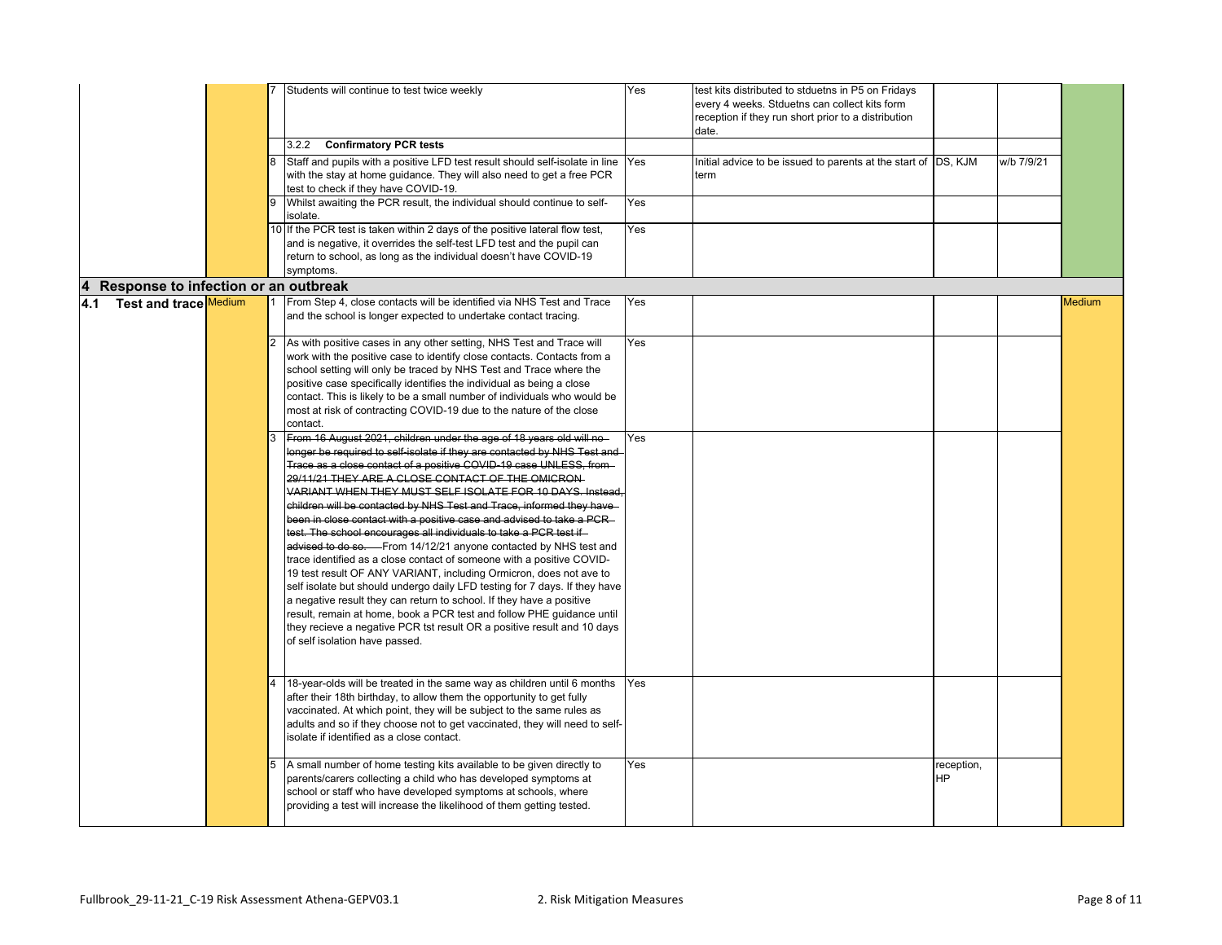|                                      |   | Students will continue to test twice weekly<br>3.2.2<br><b>Confirmatory PCR tests</b><br>Staff and pupils with a positive LFD test result should self-isolate in line<br>with the stay at home quidance. They will also need to get a free PCR<br>test to check if they have COVID-19.<br>Whilst awaiting the PCR result, the individual should continue to self-<br>isolate.<br>10 If the PCR test is taken within 2 days of the positive lateral flow test,<br>and is negative, it overrides the self-test LFD test and the pupil can                                                                                                                                                                                                                                                                                                                                                                                                                                                                                                                                                                                                                                                                                                                                                                                                                                                                                                                                                                                                                                                         | Yes<br>Yes<br>Yes<br>Yes | test kits distributed to stduetns in P5 on Fridays<br>every 4 weeks. Stduetns can collect kits form<br>reception if they run short prior to a distribution<br>date.<br>Initial advice to be issued to parents at the start of DS, KJM<br>term |                  | w/b 7/9/21 |        |
|--------------------------------------|---|-------------------------------------------------------------------------------------------------------------------------------------------------------------------------------------------------------------------------------------------------------------------------------------------------------------------------------------------------------------------------------------------------------------------------------------------------------------------------------------------------------------------------------------------------------------------------------------------------------------------------------------------------------------------------------------------------------------------------------------------------------------------------------------------------------------------------------------------------------------------------------------------------------------------------------------------------------------------------------------------------------------------------------------------------------------------------------------------------------------------------------------------------------------------------------------------------------------------------------------------------------------------------------------------------------------------------------------------------------------------------------------------------------------------------------------------------------------------------------------------------------------------------------------------------------------------------------------------------|--------------------------|-----------------------------------------------------------------------------------------------------------------------------------------------------------------------------------------------------------------------------------------------|------------------|------------|--------|
|                                      |   | return to school, as long as the individual doesn't have COVID-19<br>symptoms.                                                                                                                                                                                                                                                                                                                                                                                                                                                                                                                                                                                                                                                                                                                                                                                                                                                                                                                                                                                                                                                                                                                                                                                                                                                                                                                                                                                                                                                                                                                  |                          |                                                                                                                                                                                                                                               |                  |            |        |
| Response to infection or an outbreak |   |                                                                                                                                                                                                                                                                                                                                                                                                                                                                                                                                                                                                                                                                                                                                                                                                                                                                                                                                                                                                                                                                                                                                                                                                                                                                                                                                                                                                                                                                                                                                                                                                 |                          |                                                                                                                                                                                                                                               |                  |            |        |
| 4.1 Test and trace Medium            |   | From Step 4, close contacts will be identified via NHS Test and Trace<br>and the school is longer expected to undertake contact tracing.                                                                                                                                                                                                                                                                                                                                                                                                                                                                                                                                                                                                                                                                                                                                                                                                                                                                                                                                                                                                                                                                                                                                                                                                                                                                                                                                                                                                                                                        | Yes                      |                                                                                                                                                                                                                                               |                  |            | Medium |
|                                      |   | As with positive cases in any other setting, NHS Test and Trace will<br>work with the positive case to identify close contacts. Contacts from a<br>school setting will only be traced by NHS Test and Trace where the<br>positive case specifically identifies the individual as being a close<br>contact. This is likely to be a small number of individuals who would be<br>most at risk of contracting COVID-19 due to the nature of the close<br>contact.<br>From 16 August 2021, children under the age of 18 years old will no-<br>longer be required to self-isolate if they are contacted by NHS Test and<br>Trace as a close contact of a positive COVID-19 case UNLESS, from-<br>29/11/21 THEY ARE A CLOSE CONTACT OF THE OMICRON-<br>VARIANT WHEN THEY MUST SELF ISOLATE FOR 10 DAYS. Instead,<br>children will be contacted by NHS Test and Trace, informed they have<br>been in close contact with a positive case and advised to take a PCR-<br>test. The school encourages all individuals to take a PCR test if.<br>advised to do so. From 14/12/21 anyone contacted by NHS test and<br>trace identified as a close contact of someone with a positive COVID-<br>19 test result OF ANY VARIANT, including Ormicron, does not ave to<br>self isolate but should undergo daily LFD testing for 7 days. If they have<br>a negative result they can return to school. If they have a positive<br>result, remain at home, book a PCR test and follow PHE quidance until<br>they recieve a negative PCR tst result OR a positive result and 10 days<br>of self isolation have passed. | Yes<br>Yes               |                                                                                                                                                                                                                                               |                  |            |        |
|                                      |   | 18-year-olds will be treated in the same way as children until 6 months<br>after their 18th birthday, to allow them the opportunity to get fully<br>vaccinated. At which point, they will be subject to the same rules as<br>adults and so if they choose not to get vaccinated, they will need to self-<br>isolate if identified as a close contact.                                                                                                                                                                                                                                                                                                                                                                                                                                                                                                                                                                                                                                                                                                                                                                                                                                                                                                                                                                                                                                                                                                                                                                                                                                           | Yes                      |                                                                                                                                                                                                                                               |                  |            |        |
|                                      | 5 | A small number of home testing kits available to be given directly to<br>parents/carers collecting a child who has developed symptoms at<br>school or staff who have developed symptoms at schools, where<br>providing a test will increase the likelihood of them getting tested.                                                                                                                                                                                                                                                                                                                                                                                                                                                                                                                                                                                                                                                                                                                                                                                                                                                                                                                                                                                                                                                                                                                                                                                                                                                                                                              | Yes                      |                                                                                                                                                                                                                                               | reception,<br>HΡ |            |        |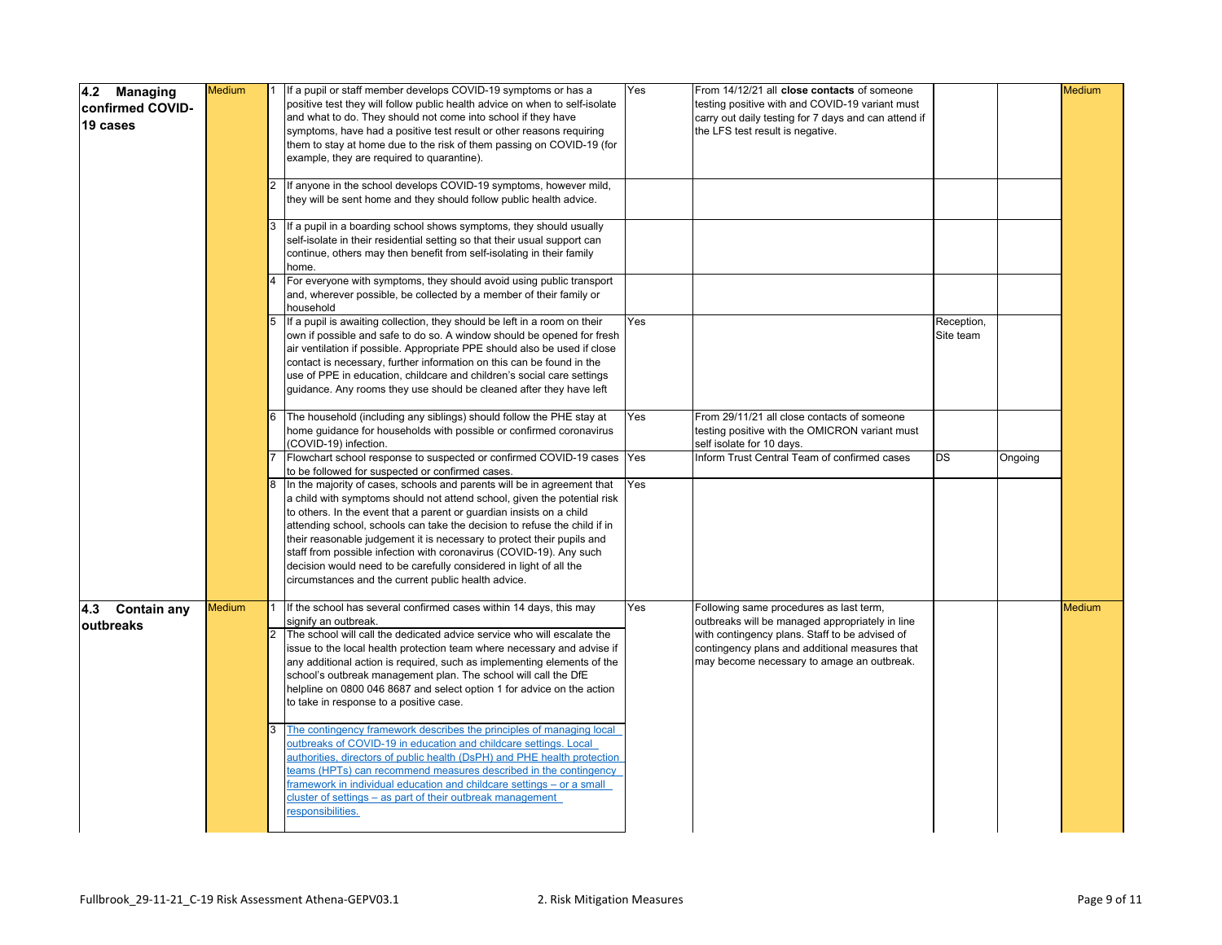|                                              | <b>Medium</b> | If a pupil or staff member develops COVID-19 symptoms or has a                                                                                                                                                                                                                                                                                                                                                                                                                                                                                                                         | Yes | From 14/12/21 all close contacts of someone                                                                                                                                                                                                  |                         |         | Medium        |
|----------------------------------------------|---------------|----------------------------------------------------------------------------------------------------------------------------------------------------------------------------------------------------------------------------------------------------------------------------------------------------------------------------------------------------------------------------------------------------------------------------------------------------------------------------------------------------------------------------------------------------------------------------------------|-----|----------------------------------------------------------------------------------------------------------------------------------------------------------------------------------------------------------------------------------------------|-------------------------|---------|---------------|
| 4.2 Managing<br>confirmed COVID-<br>19 cases |               | positive test they will follow public health advice on when to self-isolate<br>and what to do. They should not come into school if they have<br>symptoms, have had a positive test result or other reasons requiring<br>them to stay at home due to the risk of them passing on COVID-19 (for<br>example, they are required to quarantine).                                                                                                                                                                                                                                            |     | testing positive with and COVID-19 variant must<br>carry out daily testing for 7 days and can attend if<br>the LFS test result is negative.                                                                                                  |                         |         |               |
|                                              |               | If anyone in the school develops COVID-19 symptoms, however mild,<br>they will be sent home and they should follow public health advice.                                                                                                                                                                                                                                                                                                                                                                                                                                               |     |                                                                                                                                                                                                                                              |                         |         |               |
|                                              |               | If a pupil in a boarding school shows symptoms, they should usually<br>self-isolate in their residential setting so that their usual support can<br>continue, others may then benefit from self-isolating in their family<br>home.                                                                                                                                                                                                                                                                                                                                                     |     |                                                                                                                                                                                                                                              |                         |         |               |
|                                              |               | For everyone with symptoms, they should avoid using public transport<br>and, wherever possible, be collected by a member of their family or<br>household                                                                                                                                                                                                                                                                                                                                                                                                                               |     |                                                                                                                                                                                                                                              |                         |         |               |
|                                              |               | If a pupil is awaiting collection, they should be left in a room on their<br>own if possible and safe to do so. A window should be opened for fresh<br>air ventilation if possible. Appropriate PPE should also be used if close<br>contact is necessary, further information on this can be found in the<br>use of PPE in education, childcare and children's social care settings<br>guidance. Any rooms they use should be cleaned after they have left                                                                                                                             | Yes |                                                                                                                                                                                                                                              | Reception,<br>Site team |         |               |
|                                              |               | The household (including any siblings) should follow the PHE stay at<br>home guidance for households with possible or confirmed coronavirus<br>(COVID-19) infection.                                                                                                                                                                                                                                                                                                                                                                                                                   | Yes | From 29/11/21 all close contacts of someone<br>testing positive with the OMICRON variant must<br>self isolate for 10 days.                                                                                                                   |                         |         |               |
|                                              |               | Flowchart school response to suspected or confirmed COVID-19 cases Yes<br>to be followed for suspected or confirmed cases.                                                                                                                                                                                                                                                                                                                                                                                                                                                             |     | Inform Trust Central Team of confirmed cases                                                                                                                                                                                                 | DS                      | Ongoing |               |
|                                              |               | In the majority of cases, schools and parents will be in agreement that<br>a child with symptoms should not attend school, given the potential risk<br>to others. In the event that a parent or guardian insists on a child<br>attending school, schools can take the decision to refuse the child if in<br>their reasonable judgement it is necessary to protect their pupils and<br>staff from possible infection with coronavirus (COVID-19). Any such<br>decision would need to be carefully considered in light of all the<br>circumstances and the current public health advice. | Yes |                                                                                                                                                                                                                                              |                         |         |               |
| <b>Contain any</b><br>4.3<br>outbreaks       | Medium        | If the school has several confirmed cases within 14 days, this may<br>signify an outbreak.<br>The school will call the dedicated advice service who will escalate the<br>issue to the local health protection team where necessary and advise if<br>any additional action is required, such as implementing elements of the<br>school's outbreak management plan. The school will call the DfE<br>helpline on 0800 046 8687 and select option 1 for advice on the action<br>to take in response to a positive case.                                                                    | Yes | Following same procedures as last term,<br>outbreaks will be managed appropriately in line<br>with contingency plans. Staff to be advised of<br>contingency plans and additional measures that<br>may become necessary to amage an outbreak. |                         |         | <b>Medium</b> |
|                                              |               | The contingency framework describes the principles of managing local<br>outbreaks of COVID-19 in education and childcare settings. Local<br>authorities, directors of public health (DsPH) and PHE health protection<br>teams (HPTs) can recommend measures described in the contingency<br>framework in individual education and childcare settings - or a small<br>cluster of settings - as part of their outbreak management<br>responsibilities.                                                                                                                                   |     |                                                                                                                                                                                                                                              |                         |         |               |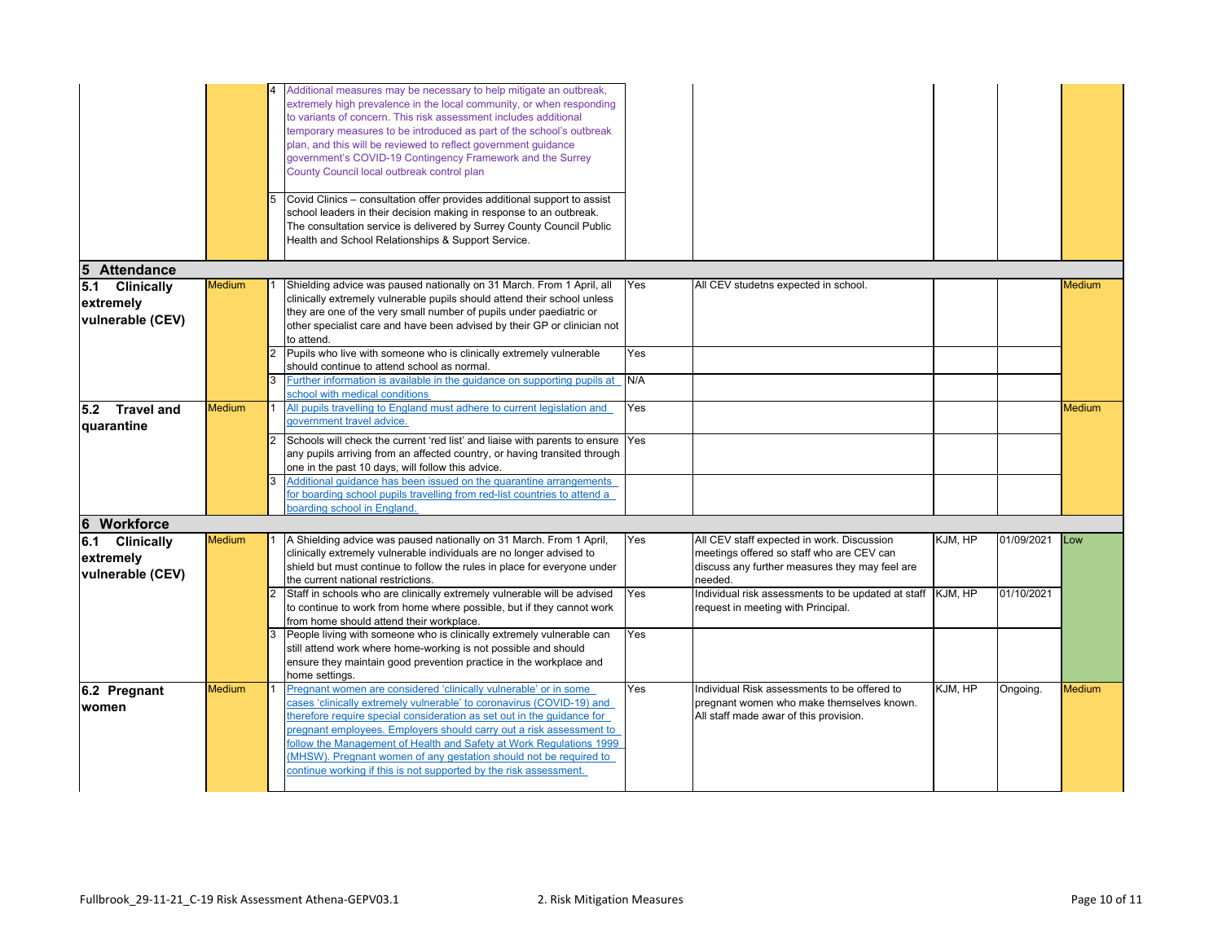|                                                 |               | Additional measures may be necessary to help mitigate an outbreak,<br>extremely high prevalence in the local community, or when responding<br>to variants of concern. This risk assessment includes additional<br>temporary measures to be introduced as part of the school's outbreak<br>plan, and this will be reviewed to reflect government guidance<br>government's COVID-19 Contingency Framework and the Surrey<br>County Council local outbreak control plan<br>Covid Clinics - consultation offer provides additional support to assist<br>school leaders in their decision making in response to an outbreak.<br>The consultation service is delivered by Surrey County Council Public<br>Health and School Relationships & Support Service. |            |                                                                                                                                     |         |            |               |
|-------------------------------------------------|---------------|--------------------------------------------------------------------------------------------------------------------------------------------------------------------------------------------------------------------------------------------------------------------------------------------------------------------------------------------------------------------------------------------------------------------------------------------------------------------------------------------------------------------------------------------------------------------------------------------------------------------------------------------------------------------------------------------------------------------------------------------------------|------------|-------------------------------------------------------------------------------------------------------------------------------------|---------|------------|---------------|
| $5\phantom{.0}$<br><b>Attendance</b>            |               |                                                                                                                                                                                                                                                                                                                                                                                                                                                                                                                                                                                                                                                                                                                                                        |            |                                                                                                                                     |         |            |               |
| 5.1 Clinically<br>extremely<br>vulnerable (CEV) | <b>Medium</b> | Shielding advice was paused nationally on 31 March. From 1 April, all<br>clinically extremely vulnerable pupils should attend their school unless<br>they are one of the very small number of pupils under paediatric or<br>other specialist care and have been advised by their GP or clinician not<br>to attend.                                                                                                                                                                                                                                                                                                                                                                                                                                     | Yes        | All CEV studetns expected in school.                                                                                                |         |            | <b>Medium</b> |
|                                                 |               | Pupils who live with someone who is clinically extremely vulnerable<br>should continue to attend school as normal.<br>Further information is available in the guidance on supporting pupils at                                                                                                                                                                                                                                                                                                                                                                                                                                                                                                                                                         | Yes<br>N/A |                                                                                                                                     |         |            |               |
|                                                 |               | school with medical conditions                                                                                                                                                                                                                                                                                                                                                                                                                                                                                                                                                                                                                                                                                                                         |            |                                                                                                                                     |         |            |               |
| $5.2$ Travel and<br>quarantine                  | <b>Medium</b> | All pupils travelling to England must adhere to current legislation and<br>government travel advice.                                                                                                                                                                                                                                                                                                                                                                                                                                                                                                                                                                                                                                                   | Yes        |                                                                                                                                     |         |            | <b>Medium</b> |
|                                                 |               | Schools will check the current 'red list' and liaise with parents to ensure<br>any pupils arriving from an affected country, or having transited through<br>one in the past 10 days, will follow this advice.                                                                                                                                                                                                                                                                                                                                                                                                                                                                                                                                          | Yes        |                                                                                                                                     |         |            |               |
|                                                 |               | Additional quidance has been issued on the quarantine arrangements<br>for boarding school pupils travelling from red-list countries to attend a<br>poarding school in England                                                                                                                                                                                                                                                                                                                                                                                                                                                                                                                                                                          |            |                                                                                                                                     |         |            |               |
| 6 Workforce                                     |               |                                                                                                                                                                                                                                                                                                                                                                                                                                                                                                                                                                                                                                                                                                                                                        |            |                                                                                                                                     |         |            |               |
| 6.1 Clinically                                  | <b>Medium</b> | A Shielding advice was paused nationally on 31 March. From 1 April,                                                                                                                                                                                                                                                                                                                                                                                                                                                                                                                                                                                                                                                                                    | Yes        | All CEV staff expected in work. Discussion                                                                                          | KJM, HP | 01/09/2021 | Low           |
| extremely<br>vulnerable (CEV)                   |               | clinically extremely vulnerable individuals are no longer advised to<br>shield but must continue to follow the rules in place for everyone under<br>the current national restrictions.                                                                                                                                                                                                                                                                                                                                                                                                                                                                                                                                                                 |            | meetings offered so staff who are CEV can<br>discuss any further measures they may feel are<br>needed.                              |         |            |               |
|                                                 |               | Staff in schools who are clinically extremely vulnerable will be advised<br>to continue to work from home where possible, but if they cannot work<br>from home should attend their workplace.                                                                                                                                                                                                                                                                                                                                                                                                                                                                                                                                                          | Yes        | Individual risk assessments to be updated at staff KJM, HP<br>request in meeting with Principal.                                    |         | 01/10/2021 |               |
|                                                 |               | People living with someone who is clinically extremely vulnerable can<br>still attend work where home-working is not possible and should<br>ensure they maintain good prevention practice in the workplace and<br>home settings.                                                                                                                                                                                                                                                                                                                                                                                                                                                                                                                       | Yes        |                                                                                                                                     |         |            |               |
| 6.2 Pregnant<br>women                           | <b>Medium</b> | Pregnant women are considered 'clinically vulnerable' or in some<br>cases 'clinically extremely vulnerable' to coronavirus (COVID-19) and<br>herefore require special consideration as set out in the quidance for<br>pregnant employees. Employers should carry out a risk assessment to<br>follow the Management of Health and Safety at Work Regulations 1999<br>(MHSW). Pregnant women of any gestation should not be required to<br>continue working if this is not supported by the risk assessment.                                                                                                                                                                                                                                             | Yes        | Individual Risk assessments to be offered to<br>pregnant women who make themselves known.<br>All staff made awar of this provision. | KJM, HP | Ongoing.   | <b>Medium</b> |